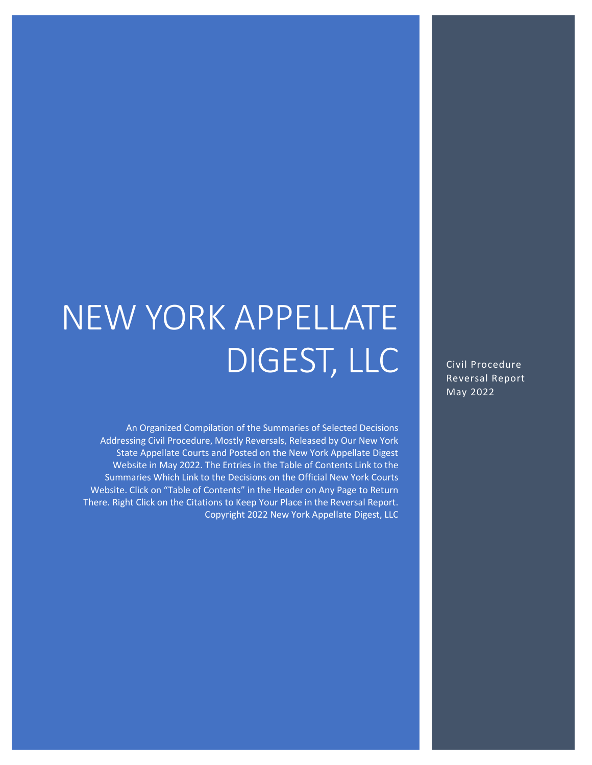# NEW YORK APPELLATE DIGEST, LLC

An Organized Compilation of the Summaries of Selected Decisions Addressing Civil Procedure, Mostly Reversals, Released by Our New York State Appellate Courts and Posted on the New York Appellate Digest Website in May 2022. The Entries in the Table of Contents Link to the Summaries Which Link to the Decisions on the Official New York Courts Website. Click on "Table of Contents" in the Header on Any Page to Return There. Right Click on the Citations to Keep Your Place in the Reversal Report. Copyright 2022 New York Appellate Digest, LLC

Civil Procedure Reversal Report May 2022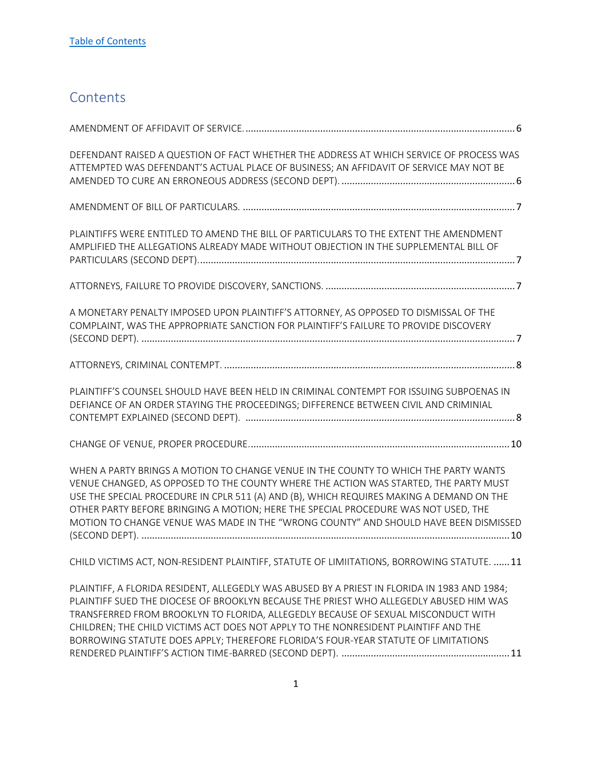# <span id="page-1-0"></span>**Contents**

| DEFENDANT RAISED A QUESTION OF FACT WHETHER THE ADDRESS AT WHICH SERVICE OF PROCESS WAS<br>ATTEMPTED WAS DEFENDANT'S ACTUAL PLACE OF BUSINESS; AN AFFIDAVIT OF SERVICE MAY NOT BE                                                                                                                                                                                                                                                                        |
|----------------------------------------------------------------------------------------------------------------------------------------------------------------------------------------------------------------------------------------------------------------------------------------------------------------------------------------------------------------------------------------------------------------------------------------------------------|
|                                                                                                                                                                                                                                                                                                                                                                                                                                                          |
| PLAINTIFFS WERE ENTITLED TO AMEND THE BILL OF PARTICULARS TO THE EXTENT THE AMENDMENT<br>AMPLIFIED THE ALLEGATIONS ALREADY MADE WITHOUT OBJECTION IN THE SUPPLEMENTAL BILL OF                                                                                                                                                                                                                                                                            |
|                                                                                                                                                                                                                                                                                                                                                                                                                                                          |
| A MONETARY PENALTY IMPOSED UPON PLAINTIFF'S ATTORNEY, AS OPPOSED TO DISMISSAL OF THE<br>COMPLAINT, WAS THE APPROPRIATE SANCTION FOR PLAINTIFF'S FAILURE TO PROVIDE DISCOVERY                                                                                                                                                                                                                                                                             |
|                                                                                                                                                                                                                                                                                                                                                                                                                                                          |
| PLAINTIFF'S COUNSEL SHOULD HAVE BEEN HELD IN CRIMINAL CONTEMPT FOR ISSUING SUBPOENAS IN<br>DEFIANCE OF AN ORDER STAYING THE PROCEEDINGS; DIFFERENCE BETWEEN CIVIL AND CRIMINIAL                                                                                                                                                                                                                                                                          |
|                                                                                                                                                                                                                                                                                                                                                                                                                                                          |
| WHEN A PARTY BRINGS A MOTION TO CHANGE VENUE IN THE COUNTY TO WHICH THE PARTY WANTS<br>VENUE CHANGED, AS OPPOSED TO THE COUNTY WHERE THE ACTION WAS STARTED, THE PARTY MUST<br>USE THE SPECIAL PROCEDURE IN CPLR 511 (A) AND (B), WHICH REQUIRES MAKING A DEMAND ON THE<br>OTHER PARTY BEFORE BRINGING A MOTION; HERE THE SPECIAL PROCEDURE WAS NOT USED, THE<br>MOTION TO CHANGE VENUE WAS MADE IN THE "WRONG COUNTY" AND SHOULD HAVE BEEN DISMISSED    |
| CHILD VICTIMS ACT, NON-RESIDENT PLAINTIFF, STATUTE OF LIMIITATIONS, BORROWING STATUTE.  11                                                                                                                                                                                                                                                                                                                                                               |
| PLAINTIFF, A FLORIDA RESIDENT, ALLEGEDLY WAS ABUSED BY A PRIEST IN FLORIDA IN 1983 AND 1984;<br>PLAINTIFF SUED THE DIOCESE OF BROOKLYN BECAUSE THE PRIEST WHO ALLEGEDLY ABUSED HIM WAS<br>TRANSFERRED FROM BROOKLYN TO FLORIDA, ALLEGEDLY BECAUSE OF SEXUAL MISCONDUCT WITH<br>CHILDREN; THE CHILD VICTIMS ACT DOES NOT APPLY TO THE NONRESIDENT PLAINTIFF AND THE<br>BORROWING STATUTE DOES APPLY; THEREFORE FLORIDA'S FOUR-YEAR STATUTE OF LIMITATIONS |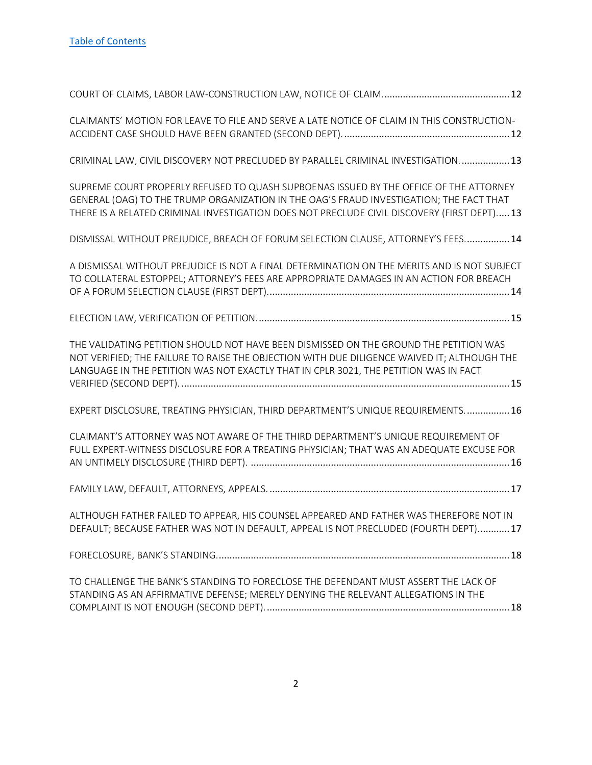| CLAIMANTS' MOTION FOR LEAVE TO FILE AND SERVE A LATE NOTICE OF CLAIM IN THIS CONSTRUCTION-                                                                                                                                                                                      |
|---------------------------------------------------------------------------------------------------------------------------------------------------------------------------------------------------------------------------------------------------------------------------------|
| CRIMINAL LAW, CIVIL DISCOVERY NOT PRECLUDED BY PARALLEL CRIMINAL INVESTIGATION 13                                                                                                                                                                                               |
| SUPREME COURT PROPERLY REFUSED TO QUASH SUPBOENAS ISSUED BY THE OFFICE OF THE ATTORNEY<br>GENERAL (OAG) TO THE TRUMP ORGANIZATION IN THE OAG'S FRAUD INVESTIGATION; THE FACT THAT<br>THERE IS A RELATED CRIMINAL INVESTIGATION DOES NOT PRECLUDE CIVIL DISCOVERY (FIRST DEPT)13 |
| DISMISSAL WITHOUT PREJUDICE, BREACH OF FORUM SELECTION CLAUSE, ATTORNEY'S FEES 14                                                                                                                                                                                               |
| A DISMISSAL WITHOUT PREJUDICE IS NOT A FINAL DETERMINATION ON THE MERITS AND IS NOT SUBJECT<br>TO COLLATERAL ESTOPPEL; ATTORNEY'S FEES ARE APPROPRIATE DAMAGES IN AN ACTION FOR BREACH                                                                                          |
|                                                                                                                                                                                                                                                                                 |
| THE VALIDATING PETITION SHOULD NOT HAVE BEEN DISMISSED ON THE GROUND THE PETITION WAS<br>NOT VERIFIED; THE FAILURE TO RAISE THE OBJECTION WITH DUE DILIGENCE WAIVED IT; ALTHOUGH THE<br>LANGUAGE IN THE PETITION WAS NOT EXACTLY THAT IN CPLR 3021, THE PETITION WAS IN FACT    |
| EXPERT DISCLOSURE, TREATING PHYSICIAN, THIRD DEPARTMENT'S UNIQUE REQUIREMENTS 16                                                                                                                                                                                                |
| CLAIMANT'S ATTORNEY WAS NOT AWARE OF THE THIRD DEPARTMENT'S UNIQUE REQUIREMENT OF<br>FULL EXPERT-WITNESS DISCLOSURE FOR A TREATING PHYSICIAN; THAT WAS AN ADEQUATE EXCUSE FOR                                                                                                   |
|                                                                                                                                                                                                                                                                                 |
| ALTHOUGH FATHER FAILED TO APPEAR, HIS COUNSEL APPEARED AND FATHER WAS THEREFORE NOT IN<br>DEFAULT; BECAUSE FATHER WAS NOT IN DEFAULT, APPEAL IS NOT PRECLUDED (FOURTH DEPT) 17                                                                                                  |
|                                                                                                                                                                                                                                                                                 |
| TO CHALLENGE THE BANK'S STANDING TO FORECLOSE THE DEFENDANT MUST ASSERT THE LACK OF<br>STANDING AS AN AFFIRMATIVE DEFENSE; MERELY DENYING THE RELEVANT ALLEGATIONS IN THE                                                                                                       |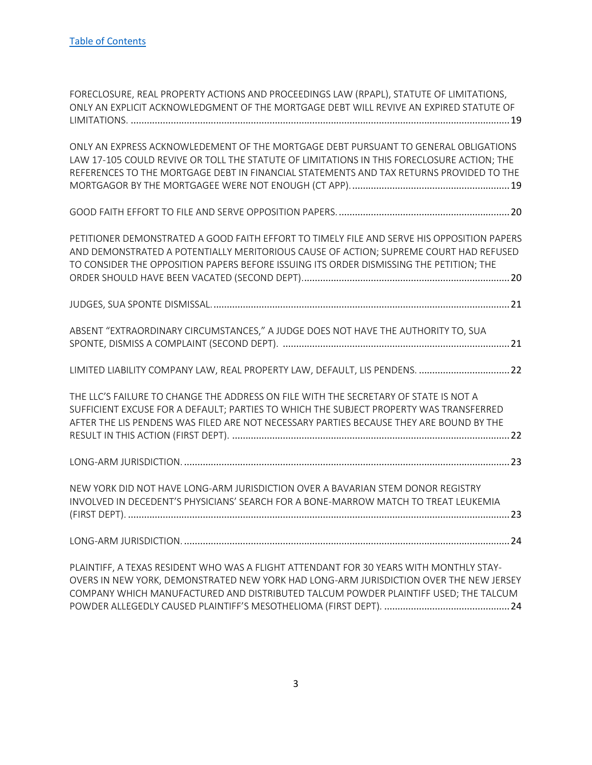| FORECLOSURE, REAL PROPERTY ACTIONS AND PROCEEDINGS LAW (RPAPL), STATUTE OF LIMITATIONS,<br>ONLY AN EXPLICIT ACKNOWLEDGMENT OF THE MORTGAGE DEBT WILL REVIVE AN EXPIRED STATUTE OF                                                                                              |
|--------------------------------------------------------------------------------------------------------------------------------------------------------------------------------------------------------------------------------------------------------------------------------|
| ONLY AN EXPRESS ACKNOWLEDEMENT OF THE MORTGAGE DEBT PURSUANT TO GENERAL OBLIGATIONS<br>LAW 17-105 COULD REVIVE OR TOLL THE STATUTE OF LIMITATIONS IN THIS FORECLOSURE ACTION; THE<br>REFERENCES TO THE MORTGAGE DEBT IN FINANCIAL STATEMENTS AND TAX RETURNS PROVIDED TO THE   |
|                                                                                                                                                                                                                                                                                |
| PETITIONER DEMONSTRATED A GOOD FAITH EFFORT TO TIMELY FILE AND SERVE HIS OPPOSITION PAPERS<br>AND DEMONSTRATED A POTENTIALLY MERITORIOUS CAUSE OF ACTION; SUPREME COURT HAD REFUSED<br>TO CONSIDER THE OPPOSITION PAPERS BEFORE ISSUING ITS ORDER DISMISSING THE PETITION; THE |
|                                                                                                                                                                                                                                                                                |
| ABSENT "EXTRAORDINARY CIRCUMSTANCES," A JUDGE DOES NOT HAVE THE AUTHORITY TO, SUA                                                                                                                                                                                              |
| LIMITED LIABILITY COMPANY LAW, REAL PROPERTY LAW, DEFAULT, LIS PENDENS. 22                                                                                                                                                                                                     |
| THE LLC'S FAILURE TO CHANGE THE ADDRESS ON FILE WITH THE SECRETARY OF STATE IS NOT A<br>SUFFICIENT EXCUSE FOR A DEFAULT; PARTIES TO WHICH THE SUBJECT PROPERTY WAS TRANSFERRED<br>AFTER THE LIS PENDENS WAS FILED ARE NOT NECESSARY PARTIES BECAUSE THEY ARE BOUND BY THE      |
|                                                                                                                                                                                                                                                                                |
| NEW YORK DID NOT HAVE LONG-ARM JURISDICTION OVER A BAVARIAN STEM DONOR REGISTRY<br>INVOLVED IN DECEDENT'S PHYSICIANS' SEARCH FOR A BONE-MARROW MATCH TO TREAT LEUKEMIA                                                                                                         |
|                                                                                                                                                                                                                                                                                |
| PLAINTIFF, A TEXAS RESIDENT WHO WAS A FLIGHT ATTENDANT FOR 30 YEARS WITH MONTHLY STAY-<br>OVERS IN NEW YORK, DEMONSTRATED NEW YORK HAD LONG-ARM JURISDICTION OVER THE NEW JERSEY                                                                                               |

3

[COMPANY WHICH MANUFACTURED AND DISTRIBUTED TALCUM POWDER PLAINTIFF USED; THE TALCUM](#page-24-1)  [POWDER ALLEGEDLY CAUSED PLAINTIFF'S MESOTHELIOMA \(FI](#page-24-1)RST DEPT). ...............................................24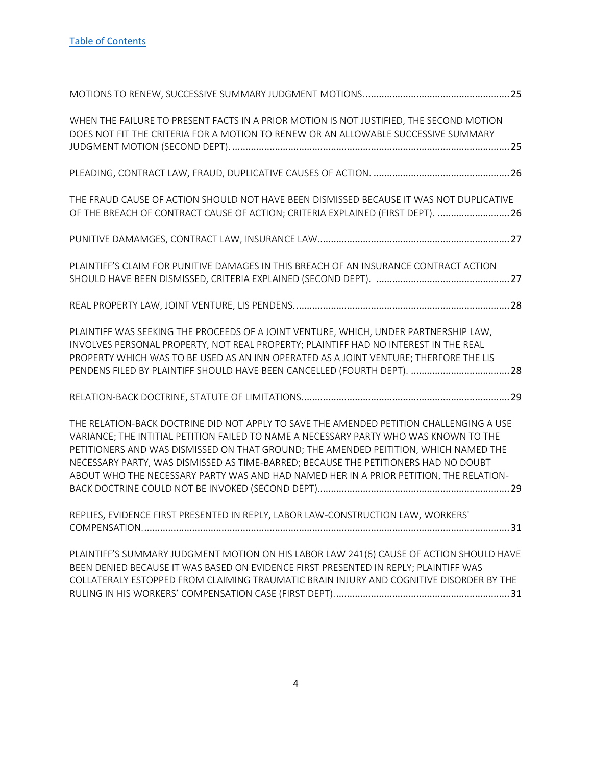| WHEN THE FAILURE TO PRESENT FACTS IN A PRIOR MOTION IS NOT JUSTIFIED, THE SECOND MOTION<br>DOES NOT FIT THE CRITERIA FOR A MOTION TO RENEW OR AN ALLOWABLE SUCCESSIVE SUMMARY                                                                                                                                                                                                                                                                             |  |
|-----------------------------------------------------------------------------------------------------------------------------------------------------------------------------------------------------------------------------------------------------------------------------------------------------------------------------------------------------------------------------------------------------------------------------------------------------------|--|
|                                                                                                                                                                                                                                                                                                                                                                                                                                                           |  |
| THE FRAUD CAUSE OF ACTION SHOULD NOT HAVE BEEN DISMISSED BECAUSE IT WAS NOT DUPLICATIVE<br>OF THE BREACH OF CONTRACT CAUSE OF ACTION; CRITERIA EXPLAINED (FIRST DEPT).  26                                                                                                                                                                                                                                                                                |  |
|                                                                                                                                                                                                                                                                                                                                                                                                                                                           |  |
| PLAINTIFF'S CLAIM FOR PUNITIVE DAMAGES IN THIS BREACH OF AN INSURANCE CONTRACT ACTION                                                                                                                                                                                                                                                                                                                                                                     |  |
|                                                                                                                                                                                                                                                                                                                                                                                                                                                           |  |
| PLAINTIFF WAS SEEKING THE PROCEEDS OF A JOINT VENTURE, WHICH, UNDER PARTNERSHIP LAW,<br>INVOLVES PERSONAL PROPERTY, NOT REAL PROPERTY; PLAINTIFF HAD NO INTEREST IN THE REAL<br>PROPERTY WHICH WAS TO BE USED AS AN INN OPERATED AS A JOINT VENTURE; THERFORE THE LIS<br>PENDENS FILED BY PLAINTIFF SHOULD HAVE BEEN CANCELLED (FOURTH DEPT). 28                                                                                                          |  |
|                                                                                                                                                                                                                                                                                                                                                                                                                                                           |  |
| THE RELATION-BACK DOCTRINE DID NOT APPLY TO SAVE THE AMENDED PETITION CHALLENGING A USE<br>VARIANCE; THE INTITIAL PETITION FAILED TO NAME A NECESSARY PARTY WHO WAS KNOWN TO THE<br>PETITIONERS AND WAS DISMISSED ON THAT GROUND; THE AMENDED PEITITION, WHICH NAMED THE<br>NECESSARY PARTY, WAS DISMISSED AS TIME-BARRED; BECAUSE THE PETITIONERS HAD NO DOUBT<br>ABOUT WHO THE NECESSARY PARTY WAS AND HAD NAMED HER IN A PRIOR PETITION, THE RELATION- |  |
| REPLIES, EVIDENCE FIRST PRESENTED IN REPLY, LABOR LAW-CONSTRUCTION LAW, WORKERS'                                                                                                                                                                                                                                                                                                                                                                          |  |
| PLAINTIFF'S SUMMARY JUDGMENT MOTION ON HIS LABOR LAW 241(6) CAUSE OF ACTION SHOULD HAVE<br>BEEN DENIED BECAUSE IT WAS BASED ON EVIDENCE FIRST PRESENTED IN REPLY; PLAINTIFF WAS<br>COLLATERALY ESTOPPED FROM CLAIMING TRAUMATIC BRAIN INJURY AND COGNITIVE DISORDER BY THE                                                                                                                                                                                |  |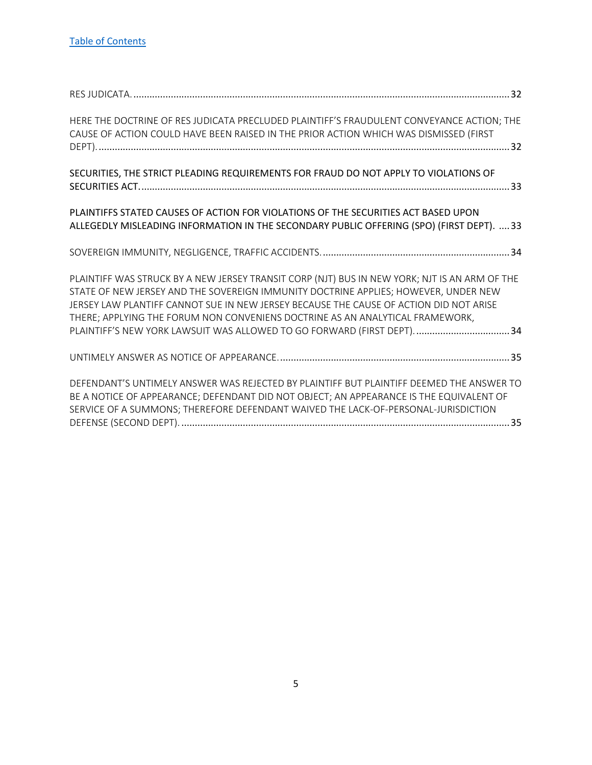| HERE THE DOCTRINE OF RES JUDICATA PRECLUDED PLAINTIFF'S FRAUDULENT CONVEYANCE ACTION; THE<br>CAUSE OF ACTION COULD HAVE BEEN RAISED IN THE PRIOR ACTION WHICH WAS DISMISSED (FIRST                                                                                                                                                                                                                                                         |
|--------------------------------------------------------------------------------------------------------------------------------------------------------------------------------------------------------------------------------------------------------------------------------------------------------------------------------------------------------------------------------------------------------------------------------------------|
| SECURITIES, THE STRICT PLEADING REQUIREMENTS FOR FRAUD DO NOT APPLY TO VIOLATIONS OF                                                                                                                                                                                                                                                                                                                                                       |
| PLAINTIFFS STATED CAUSES OF ACTION FOR VIOLATIONS OF THE SECURITIES ACT BASED UPON<br>ALLEGEDLY MISLEADING INFORMATION IN THE SECONDARY PUBLIC OFFERING (SPO) (FIRST DEPT). 33                                                                                                                                                                                                                                                             |
|                                                                                                                                                                                                                                                                                                                                                                                                                                            |
| PLAINTIFF WAS STRUCK BY A NEW JERSEY TRANSIT CORP (NJT) BUS IN NEW YORK; NJT IS AN ARM OF THE<br>STATE OF NEW JERSEY AND THE SOVEREIGN IMMUNITY DOCTRINE APPLIES; HOWEVER, UNDER NEW<br>JERSEY LAW PLANTIFF CANNOT SUE IN NEW JERSEY BECAUSE THE CAUSE OF ACTION DID NOT ARISE<br>THERE; APPLYING THE FORUM NON CONVENIENS DOCTRINE AS AN ANALYTICAL FRAMEWORK,<br>PLAINTIFF'S NEW YORK LAWSUIT WAS ALLOWED TO GO FORWARD (FIRST DEPT). 34 |
|                                                                                                                                                                                                                                                                                                                                                                                                                                            |
| DEFENDANT'S UNTIMELY ANSWER WAS REJECTED BY PLAINTIFF BUT PLAINTIFF DEEMED THE ANSWER TO<br>BE A NOTICE OF APPEARANCE; DEFENDANT DID NOT OBJECT; AN APPEARANCE IS THE EQUIVALENT OF<br>SERVICE OF A SUMMONS; THEREFORE DEFENDANT WAIVED THE LACK-OF-PERSONAL-JURISDICTION                                                                                                                                                                  |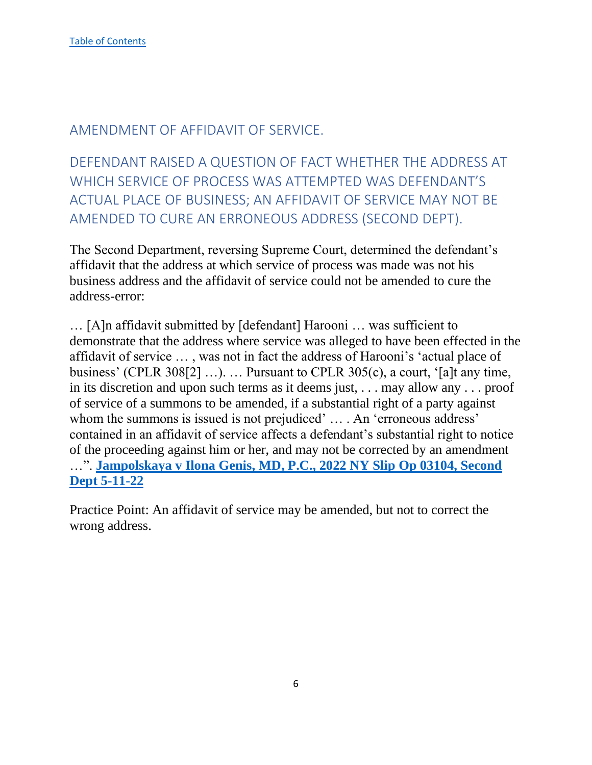## <span id="page-6-0"></span>AMENDMENT OF AFFIDAVIT OF SERVICE.

<span id="page-6-1"></span>DEFENDANT RAISED A QUESTION OF FACT WHETHER THE ADDRESS AT WHICH SERVICE OF PROCESS WAS ATTEMPTED WAS DEFENDANT'S ACTUAL PLACE OF BUSINESS; AN AFFIDAVIT OF SERVICE MAY NOT BE AMENDED TO CURE AN ERRONEOUS ADDRESS (SECOND DEPT).

The Second Department, reversing Supreme Court, determined the defendant's affidavit that the address at which service of process was made was not his business address and the affidavit of service could not be amended to cure the address-error:

… [A]n affidavit submitted by [defendant] Harooni … was sufficient to demonstrate that the address where service was alleged to have been effected in the affidavit of service … , was not in fact the address of Harooni's 'actual place of business' (CPLR 308[2] ...). ... Pursuant to CPLR 305(c), a court, '[a]t any time, in its discretion and upon such terms as it deems just, . . . may allow any . . . proof of service of a summons to be amended, if a substantial right of a party against whom the summons is issued is not prejudiced' ... . An 'erroneous address' contained in an affidavit of service affects a defendant's substantial right to notice of the proceeding against him or her, and may not be corrected by an amendment …". **[Jampolskaya v Ilona Genis, MD, P.C., 2022 NY Slip Op 03104, Second](https://nycourts.gov/reporter/3dseries/2022/2022_03104.htm)  [Dept 5-11-22](https://nycourts.gov/reporter/3dseries/2022/2022_03104.htm)**

Practice Point: An affidavit of service may be amended, but not to correct the wrong address.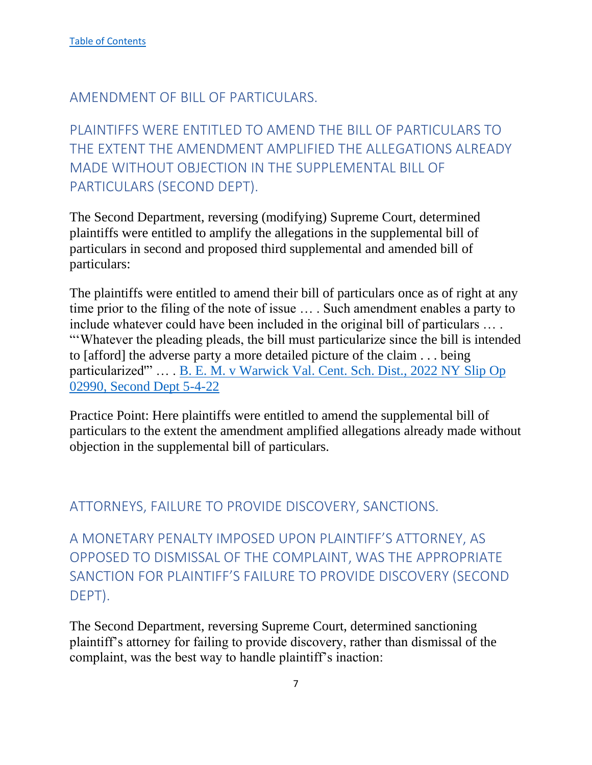## <span id="page-7-0"></span>AMENDMENT OF BILL OF PARTICULARS.

<span id="page-7-1"></span>PLAINTIFFS WERE ENTITLED TO AMEND THE BILL OF PARTICULARS TO THE EXTENT THE AMENDMENT AMPLIFIED THE ALLEGATIONS ALREADY MADE WITHOUT OBJECTION IN THE SUPPLEMENTAL BILL OF PARTICULARS (SECOND DEPT).

The Second Department, reversing (modifying) Supreme Court, determined plaintiffs were entitled to amplify the allegations in the supplemental bill of particulars in second and proposed third supplemental and amended bill of particulars:

The plaintiffs were entitled to amend their bill of particulars once as of right at any time prior to the filing of the note of issue … . Such amendment enables a party to include whatever could have been included in the original bill of particulars … . "'Whatever the pleading pleads, the bill must particularize since the bill is intended to [afford] the adverse party a more detailed picture of the claim . . . being particularized'" … . [B. E. M. v Warwick Val. Cent. Sch. Dist., 2022 NY Slip Op](https://nycourts.gov/reporter/3dseries/2022/2022_02990.htm)  [02990, Second Dept 5-4-22](https://nycourts.gov/reporter/3dseries/2022/2022_02990.htm)

Practice Point: Here plaintiffs were entitled to amend the supplemental bill of particulars to the extent the amendment amplified allegations already made without objection in the supplemental bill of particulars.

## <span id="page-7-2"></span>ATTORNEYS, FAILURE TO PROVIDE DISCOVERY, SANCTIONS.

<span id="page-7-3"></span>A MONETARY PENALTY IMPOSED UPON PLAINTIFF'S ATTORNEY, AS OPPOSED TO DISMISSAL OF THE COMPLAINT, WAS THE APPROPRIATE SANCTION FOR PLAINTIFF'S FAILURE TO PROVIDE DISCOVERY (SECOND DEPT).

The Second Department, reversing Supreme Court, determined sanctioning plaintiff's attorney for failing to provide discovery, rather than dismissal of the complaint, was the best way to handle plaintiff's inaction: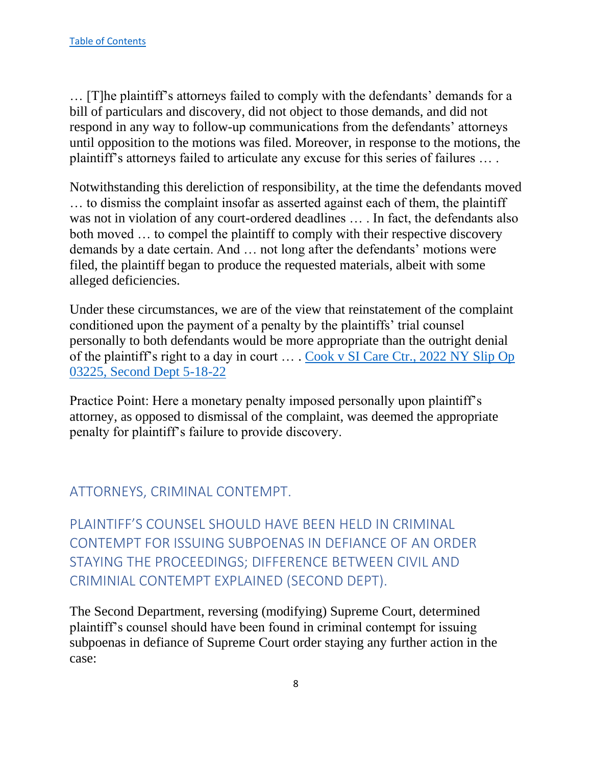… [T]he plaintiff's attorneys failed to comply with the defendants' demands for a bill of particulars and discovery, did not object to those demands, and did not respond in any way to follow-up communications from the defendants' attorneys until opposition to the motions was filed. Moreover, in response to the motions, the plaintiff's attorneys failed to articulate any excuse for this series of failures … .

Notwithstanding this dereliction of responsibility, at the time the defendants moved … to dismiss the complaint insofar as asserted against each of them, the plaintiff was not in violation of any court-ordered deadlines … . In fact, the defendants also both moved … to compel the plaintiff to comply with their respective discovery demands by a date certain. And … not long after the defendants' motions were filed, the plaintiff began to produce the requested materials, albeit with some alleged deficiencies.

Under these circumstances, we are of the view that reinstatement of the complaint conditioned upon the payment of a penalty by the plaintiffs' trial counsel personally to both defendants would be more appropriate than the outright denial of the plaintiff's right to a day in court … . [Cook v SI Care Ctr., 2022 NY Slip Op](https://nycourts.gov/reporter/3dseries/2022/2022_03225.htm)  [03225, Second Dept 5-18-22](https://nycourts.gov/reporter/3dseries/2022/2022_03225.htm)

Practice Point: Here a monetary penalty imposed personally upon plaintiff's attorney, as opposed to dismissal of the complaint, was deemed the appropriate penalty for plaintiff's failure to provide discovery.

## <span id="page-8-0"></span>ATTORNEYS, CRIMINAL CONTEMPT.

<span id="page-8-1"></span>PI AINTIFF'S COUNSEL SHOULD HAVE BEEN HELD IN CRIMINAL CONTEMPT FOR ISSUING SUBPOENAS IN DEFIANCE OF AN ORDER STAYING THE PROCEEDINGS; DIFFERENCE BETWEEN CIVIL AND CRIMINIAL CONTEMPT EXPLAINED (SECOND DEPT).

The Second Department, reversing (modifying) Supreme Court, determined plaintiff's counsel should have been found in criminal contempt for issuing subpoenas in defiance of Supreme Court order staying any further action in the case: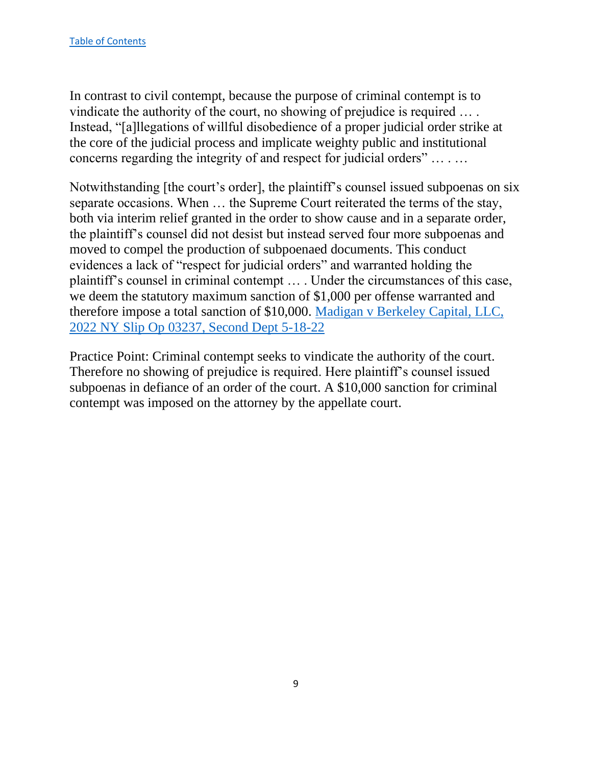In contrast to civil contempt, because the purpose of criminal contempt is to vindicate the authority of the court, no showing of prejudice is required … . Instead, "[a]llegations of willful disobedience of a proper judicial order strike at the core of the judicial process and implicate weighty public and institutional concerns regarding the integrity of and respect for judicial orders" … . …

Notwithstanding [the court's order], the plaintiff's counsel issued subpoenas on six separate occasions. When … the Supreme Court reiterated the terms of the stay, both via interim relief granted in the order to show cause and in a separate order, the plaintiff's counsel did not desist but instead served four more subpoenas and moved to compel the production of subpoenaed documents. This conduct evidences a lack of "respect for judicial orders" and warranted holding the plaintiff's counsel in criminal contempt … . Under the circumstances of this case, we deem the statutory maximum sanction of \$1,000 per offense warranted and therefore impose a total sanction of \$10,000. [Madigan v Berkeley Capital, LLC,](https://nycourts.gov/reporter/3dseries/2022/2022_03237.htm)  [2022 NY Slip Op 03237, Second Dept 5-18-22](https://nycourts.gov/reporter/3dseries/2022/2022_03237.htm)

Practice Point: Criminal contempt seeks to vindicate the authority of the court. Therefore no showing of prejudice is required. Here plaintiff's counsel issued subpoenas in defiance of an order of the court. A \$10,000 sanction for criminal contempt was imposed on the attorney by the appellate court.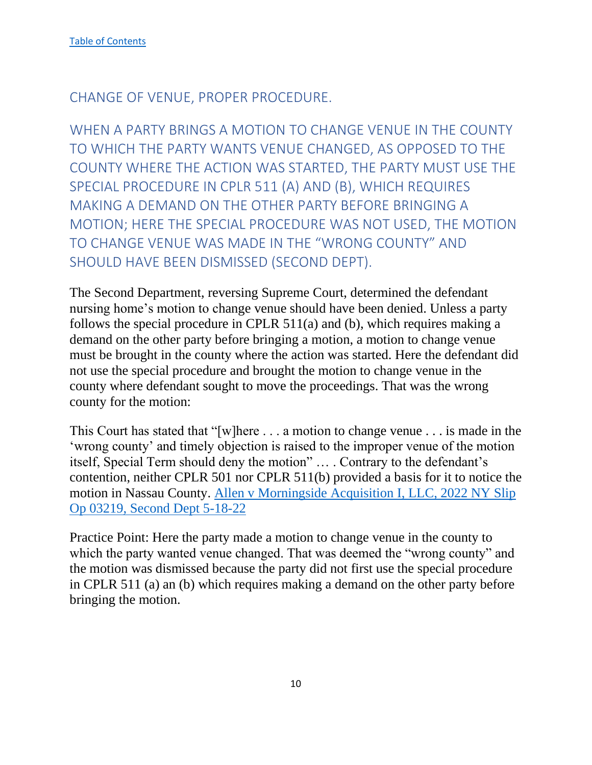## <span id="page-10-0"></span>CHANGE OF VENUE, PROPER PROCEDURE.

<span id="page-10-1"></span>WHEN A PARTY BRINGS A MOTION TO CHANGE VENUE IN THE COUNTY TO WHICH THE PARTY WANTS VENUE CHANGED, AS OPPOSED TO THE COUNTY WHERE THE ACTION WAS STARTED, THE PARTY MUST USE THE SPECIAL PROCEDURE IN CPLR 511 (A) AND (B), WHICH REQUIRES MAKING A DEMAND ON THE OTHER PARTY BEFORE BRINGING A MOTION; HERE THE SPECIAL PROCEDURE WAS NOT USED, THE MOTION TO CHANGE VENUE WAS MADE IN THE "WRONG COUNTY" AND SHOULD HAVE BEEN DISMISSED (SECOND DEPT).

The Second Department, reversing Supreme Court, determined the defendant nursing home's motion to change venue should have been denied. Unless a party follows the special procedure in CPLR 511(a) and (b), which requires making a demand on the other party before bringing a motion, a motion to change venue must be brought in the county where the action was started. Here the defendant did not use the special procedure and brought the motion to change venue in the county where defendant sought to move the proceedings. That was the wrong county for the motion:

This Court has stated that "[w]here . . . a motion to change venue . . . is made in the 'wrong county' and timely objection is raised to the improper venue of the motion itself, Special Term should deny the motion" … . Contrary to the defendant's contention, neither CPLR 501 nor CPLR 511(b) provided a basis for it to notice the motion in Nassau County. [Allen v Morningside Acquisition I, LLC, 2022 NY Slip](https://nycourts.gov/reporter/3dseries/2022/2022_03219.htm)  [Op 03219, Second Dept 5-18-22](https://nycourts.gov/reporter/3dseries/2022/2022_03219.htm)

Practice Point: Here the party made a motion to change venue in the county to which the party wanted venue changed. That was deemed the "wrong county" and the motion was dismissed because the party did not first use the special procedure in CPLR 511 (a) an (b) which requires making a demand on the other party before bringing the motion.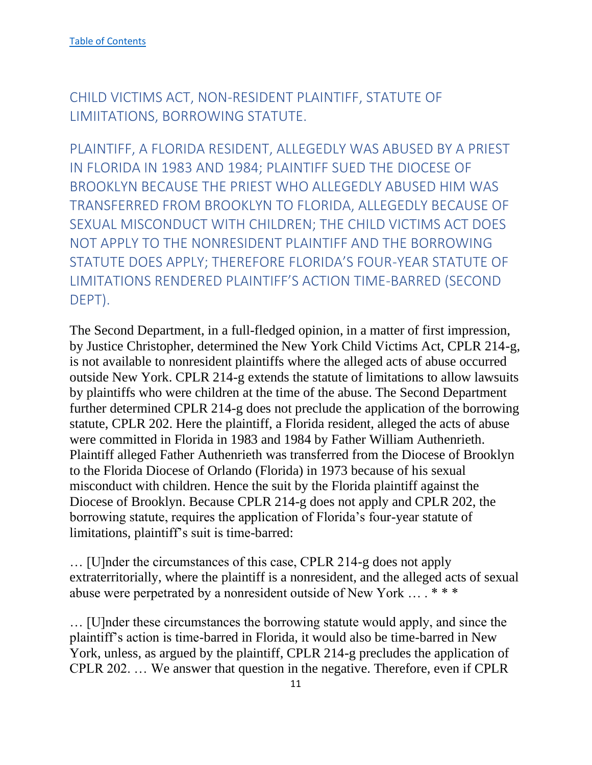<span id="page-11-0"></span>CHILD VICTIMS ACT, NON-RESIDENT PLAINTIFF, STATUTE OF LIMIITATIONS, BORROWING STATUTE.

<span id="page-11-1"></span>PLAINTIFF, A FLORIDA RESIDENT, ALLEGEDLY WAS ABUSED BY A PRIEST IN FLORIDA IN 1983 AND 1984; PLAINTIFF SUED THE DIOCESE OF BROOKLYN BECAUSE THE PRIEST WHO ALLEGEDLY ABUSED HIM WAS TRANSFERRED FROM BROOKLYN TO FLORIDA, ALLEGEDLY BECAUSE OF SEXUAL MISCONDUCT WITH CHILDREN; THE CHILD VICTIMS ACT DOES NOT APPLY TO THE NONRESIDENT PLAINTIFF AND THE BORROWING STATUTE DOES APPLY; THEREFORE FLORIDA'S FOUR-YEAR STATUTE OF LIMITATIONS RENDERED PLAINTIFF'S ACTION TIME-BARRED (SECOND DEPT).

The Second Department, in a full-fledged opinion, in a matter of first impression, by Justice Christopher, determined the New York Child Victims Act, CPLR 214-g, is not available to nonresident plaintiffs where the alleged acts of abuse occurred outside New York. CPLR 214-g extends the statute of limitations to allow lawsuits by plaintiffs who were children at the time of the abuse. The Second Department further determined CPLR 214-g does not preclude the application of the borrowing statute, CPLR 202. Here the plaintiff, a Florida resident, alleged the acts of abuse were committed in Florida in 1983 and 1984 by Father William Authenrieth. Plaintiff alleged Father Authenrieth was transferred from the Diocese of Brooklyn to the Florida Diocese of Orlando (Florida) in 1973 because of his sexual misconduct with children. Hence the suit by the Florida plaintiff against the Diocese of Brooklyn. Because CPLR 214-g does not apply and CPLR 202, the borrowing statute, requires the application of Florida's four-year statute of limitations, plaintiff's suit is time-barred:

… [U]nder the circumstances of this case, CPLR 214-g does not apply extraterritorially, where the plaintiff is a nonresident, and the alleged acts of sexual abuse were perpetrated by a nonresident outside of New York … . \* \* \*

… [U]nder these circumstances the borrowing statute would apply, and since the plaintiff's action is time-barred in Florida, it would also be time-barred in New York, unless, as argued by the plaintiff, CPLR 214-g precludes the application of CPLR 202. … We answer that question in the negative. Therefore, even if CPLR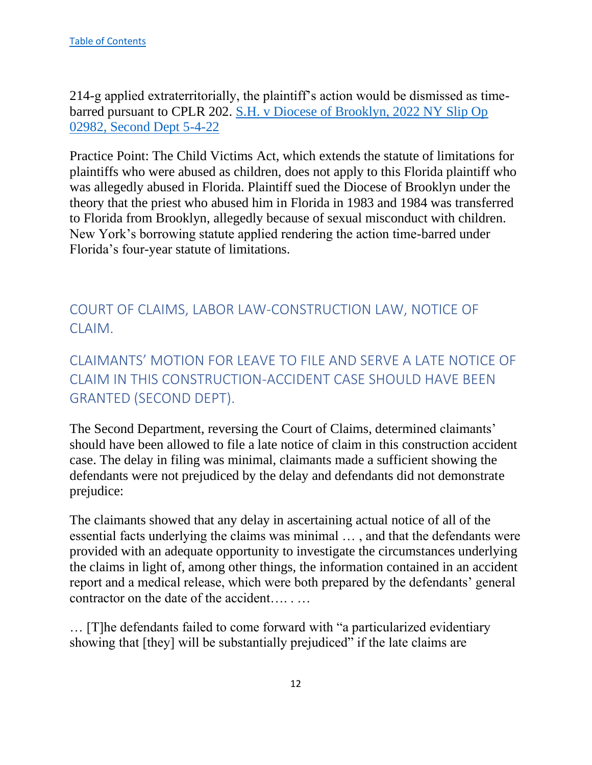214-g applied extraterritorially, the plaintiff's action would be dismissed as timebarred pursuant to CPLR 202. [S.H. v Diocese of Brooklyn, 2022 NY Slip Op](https://nycourts.gov/reporter/3dseries/2022/2022_02982.htm)  [02982, Second Dept 5-4-22](https://nycourts.gov/reporter/3dseries/2022/2022_02982.htm)

Practice Point: The Child Victims Act, which extends the statute of limitations for plaintiffs who were abused as children, does not apply to this Florida plaintiff who was allegedly abused in Florida. Plaintiff sued the Diocese of Brooklyn under the theory that the priest who abused him in Florida in 1983 and 1984 was transferred to Florida from Brooklyn, allegedly because of sexual misconduct with children. New York's borrowing statute applied rendering the action time-barred under Florida's four-year statute of limitations.

<span id="page-12-0"></span>COURT OF CLAIMS, LABOR LAW-CONSTRUCTION LAW, NOTICE OF CLAIM.

<span id="page-12-1"></span>CLAIMANTS' MOTION FOR LEAVE TO FILE AND SERVE A LATE NOTICE OF CLAIM IN THIS CONSTRUCTION-ACCIDENT CASE SHOULD HAVE BEEN GRANTED (SECOND DEPT).

The Second Department, reversing the Court of Claims, determined claimants' should have been allowed to file a late notice of claim in this construction accident case. The delay in filing was minimal, claimants made a sufficient showing the defendants were not prejudiced by the delay and defendants did not demonstrate prejudice:

The claimants showed that any delay in ascertaining actual notice of all of the essential facts underlying the claims was minimal … , and that the defendants were provided with an adequate opportunity to investigate the circumstances underlying the claims in light of, among other things, the information contained in an accident report and a medical release, which were both prepared by the defendants' general contractor on the date of the accident…. . …

… [T]he defendants failed to come forward with "a particularized evidentiary showing that [they] will be substantially prejudiced" if the late claims are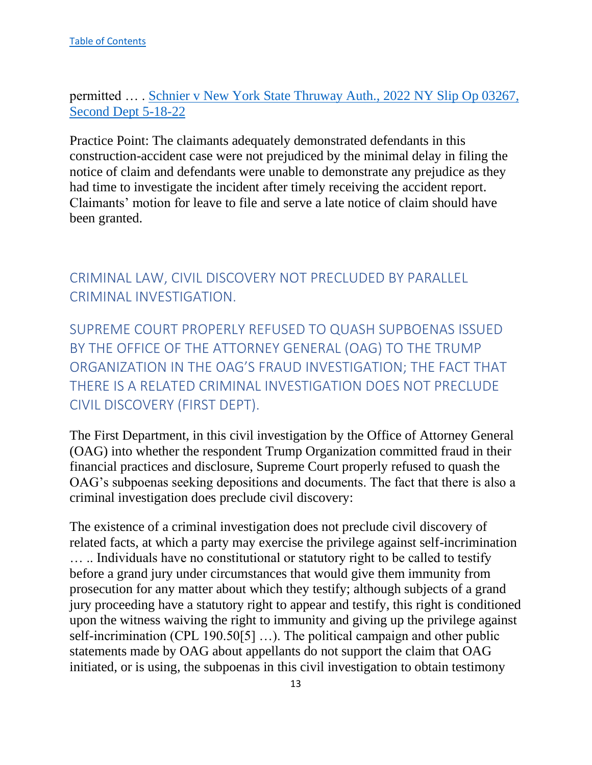permitted … . [Schnier v New York State Thruway Auth., 2022 NY Slip Op 03267,](https://nycourts.gov/reporter/3dseries/2022/2022_03267.htm)  [Second Dept 5-18-22](https://nycourts.gov/reporter/3dseries/2022/2022_03267.htm)

Practice Point: The claimants adequately demonstrated defendants in this construction-accident case were not prejudiced by the minimal delay in filing the notice of claim and defendants were unable to demonstrate any prejudice as they had time to investigate the incident after timely receiving the accident report. Claimants' motion for leave to file and serve a late notice of claim should have been granted.

<span id="page-13-0"></span>CRIMINAL LAW, CIVIL DISCOVERY NOT PRECLUDED BY PARALLEL CRIMINAL INVESTIGATION.

<span id="page-13-1"></span>SUPREME COURT PROPERLY REFUSED TO QUASH SUPBOENAS ISSUED BY THE OFFICE OF THE ATTORNEY GENERAL (OAG) TO THE TRUMP ORGANIZATION IN THE OAG'S FRAUD INVESTIGATION; THE FACT THAT THERE IS A RELATED CRIMINAL INVESTIGATION DOES NOT PRECLUDE CIVIL DISCOVERY (FIRST DEPT).

The First Department, in this civil investigation by the Office of Attorney General (OAG) into whether the respondent Trump Organization committed fraud in their financial practices and disclosure, Supreme Court properly refused to quash the OAG's subpoenas seeking depositions and documents. The fact that there is also a criminal investigation does preclude civil discovery:

The existence of a criminal investigation does not preclude civil discovery of related facts, at which a party may exercise the privilege against self-incrimination … .. Individuals have no constitutional or statutory right to be called to testify before a grand jury under circumstances that would give them immunity from prosecution for any matter about which they testify; although subjects of a grand jury proceeding have a statutory right to appear and testify, this right is conditioned upon the witness waiving the right to immunity and giving up the privilege against self-incrimination (CPL 190.50[5] …). The political campaign and other public statements made by OAG about appellants do not support the claim that OAG initiated, or is using, the subpoenas in this civil investigation to obtain testimony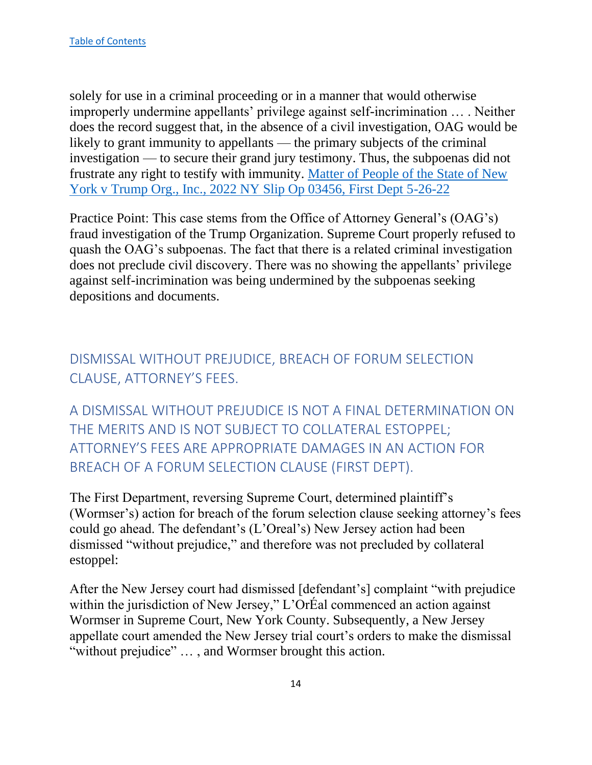solely for use in a criminal proceeding or in a manner that would otherwise improperly undermine appellants' privilege against self-incrimination … . Neither does the record suggest that, in the absence of a civil investigation, OAG would be likely to grant immunity to appellants — the primary subjects of the criminal investigation — to secure their grand jury testimony. Thus, the subpoenas did not frustrate any right to testify with immunity. [Matter of People of the State of New](https://nycourts.gov/reporter/3dseries/2022/2022_03456.htm)  [York v Trump Org., Inc., 2022 NY Slip Op 03456, First Dept 5-26-22](https://nycourts.gov/reporter/3dseries/2022/2022_03456.htm)

Practice Point: This case stems from the Office of Attorney General's (OAG's) fraud investigation of the Trump Organization. Supreme Court properly refused to quash the OAG's subpoenas. The fact that there is a related criminal investigation does not preclude civil discovery. There was no showing the appellants' privilege against self-incrimination was being undermined by the subpoenas seeking depositions and documents.

<span id="page-14-0"></span>DISMISSAL WITHOUT PREJUDICE, BREACH OF FORUM SELECTION CLAUSE, ATTORNEY'S FEES.

<span id="page-14-1"></span>A DISMISSAL WITHOUT PREJUDICE IS NOT A FINAL DETERMINATION ON THE MERITS AND IS NOT SUBJECT TO COLLATERAL ESTOPPEL; ATTORNEY'S FEES ARE APPROPRIATE DAMAGES IN AN ACTION FOR BREACH OF A FORUM SELECTION CLAUSE (FIRST DEPT).

The First Department, reversing Supreme Court, determined plaintiff's (Wormser's) action for breach of the forum selection clause seeking attorney's fees could go ahead. The defendant's (L'Oreal's) New Jersey action had been dismissed "without prejudice," and therefore was not precluded by collateral estoppel:

After the New Jersey court had dismissed [defendant's] complaint "with prejudice within the jurisdiction of New Jersey," L'OrÉal commenced an action against Wormser in Supreme Court, New York County. Subsequently, a New Jersey appellate court amended the New Jersey trial court's orders to make the dismissal "without prejudice" … , and Wormser brought this action.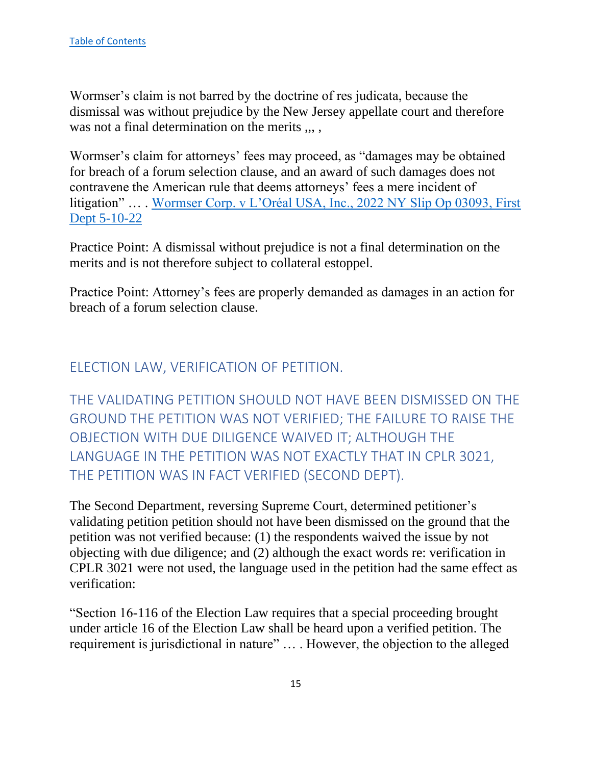Wormser's claim is not barred by the doctrine of res judicata, because the dismissal was without prejudice by the New Jersey appellate court and therefore was not a final determination on the merits ,,,,

Wormser's claim for attorneys' fees may proceed, as "damages may be obtained for breach of a forum selection clause, and an award of such damages does not contravene the American rule that deems attorneys' fees a mere incident of litigation" … . [Wormser Corp. v L'Oréal USA, Inc., 2022 NY Slip Op 03093, First](https://nycourts.gov/reporter/3dseries/2022/2022_03093.htm)  [Dept 5-10-22](https://nycourts.gov/reporter/3dseries/2022/2022_03093.htm)

Practice Point: A dismissal without prejudice is not a final determination on the merits and is not therefore subject to collateral estoppel.

Practice Point: Attorney's fees are properly demanded as damages in an action for breach of a forum selection clause.

## <span id="page-15-0"></span>ELECTION LAW, VERIFICATION OF PETITION.

<span id="page-15-1"></span>THE VALIDATING PETITION SHOULD NOT HAVE BEEN DISMISSED ON THE GROUND THE PETITION WAS NOT VERIFIED; THE FAILURE TO RAISE THE OBJECTION WITH DUE DILIGENCE WAIVED IT; ALTHOUGH THE LANGUAGE IN THE PETITION WAS NOT EXACTLY THAT IN CPLR 3021, THE PETITION WAS IN FACT VERIFIED (SECOND DEPT).

The Second Department, reversing Supreme Court, determined petitioner's validating petition petition should not have been dismissed on the ground that the petition was not verified because: (1) the respondents waived the issue by not objecting with due diligence; and (2) although the exact words re: verification in CPLR 3021 were not used, the language used in the petition had the same effect as verification:

"Section 16-116 of the Election Law requires that a special proceeding brought under article 16 of the Election Law shall be heard upon a verified petition. The requirement is jurisdictional in nature" … . However, the objection to the alleged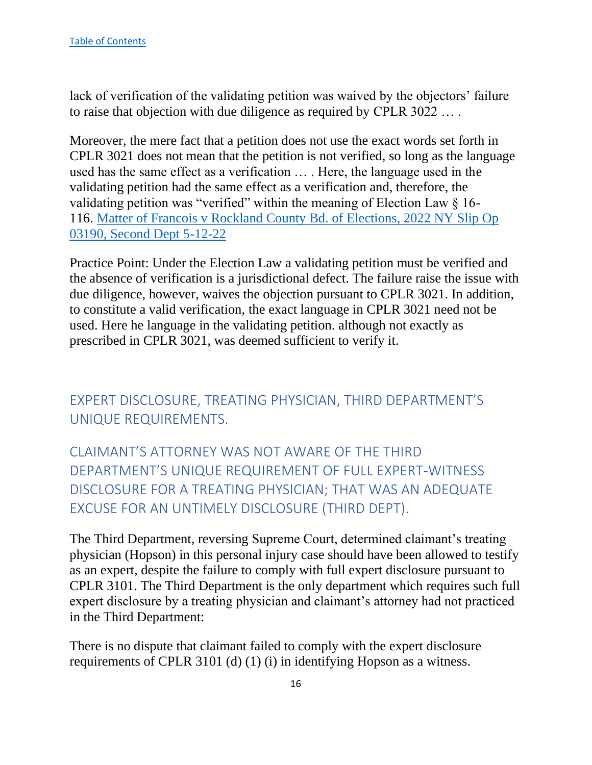lack of verification of the validating petition was waived by the objectors' failure to raise that objection with due diligence as required by CPLR 3022 … .

Moreover, the mere fact that a petition does not use the exact words set forth in CPLR 3021 does not mean that the petition is not verified, so long as the language used has the same effect as a verification … . Here, the language used in the validating petition had the same effect as a verification and, therefore, the validating petition was "verified" within the meaning of Election Law § 16- 116. [Matter of Francois v Rockland County Bd. of Elections, 2022 NY Slip Op](https://nycourts.gov/reporter/3dseries/2022/2022_03190.htm)  [03190, Second Dept 5-12-22](https://nycourts.gov/reporter/3dseries/2022/2022_03190.htm)

Practice Point: Under the Election Law a validating petition must be verified and the absence of verification is a jurisdictional defect. The failure raise the issue with due diligence, however, waives the objection pursuant to CPLR 3021. In addition, to constitute a valid verification, the exact language in CPLR 3021 need not be used. Here he language in the validating petition. although not exactly as prescribed in CPLR 3021, was deemed sufficient to verify it.

<span id="page-16-0"></span>EXPERT DISCLOSURE, TREATING PHYSICIAN, THIRD DEPARTMENT'S UNIQUE REQUIREMENTS.

<span id="page-16-1"></span>CLAIMANT'S ATTORNEY WAS NOT AWARE OF THE THIRD DEPARTMENT'S UNIQUE REQUIREMENT OF FULL EXPERT-WITNESS DISCLOSURE FOR A TREATING PHYSICIAN; THAT WAS AN ADEQUATE EXCUSE FOR AN UNTIMELY DISCLOSURE (THIRD DEPT).

The Third Department, reversing Supreme Court, determined claimant's treating physician (Hopson) in this personal injury case should have been allowed to testify as an expert, despite the failure to comply with full expert disclosure pursuant to CPLR 3101. The Third Department is the only department which requires such full expert disclosure by a treating physician and claimant's attorney had not practiced in the Third Department:

There is no dispute that claimant failed to comply with the expert disclosure requirements of CPLR 3101 (d) (1) (i) in identifying Hopson as a witness.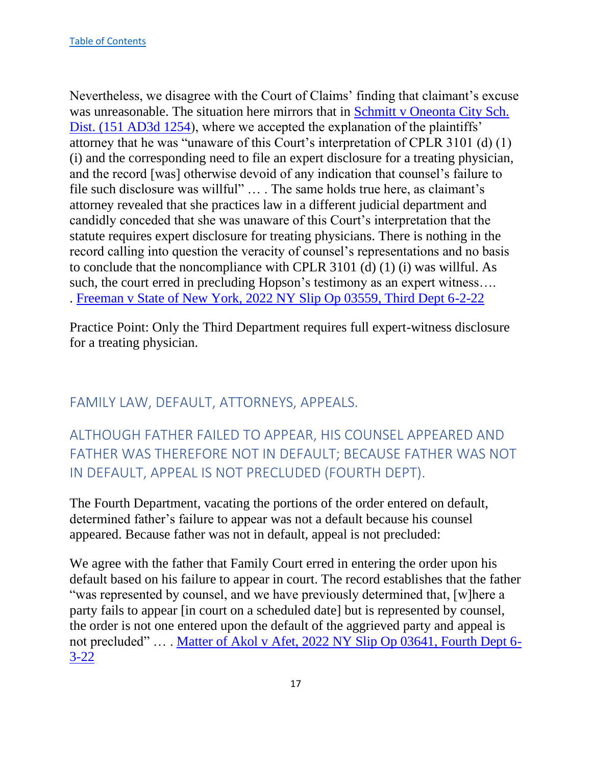Nevertheless, we disagree with the Court of Claims' finding that claimant's excuse was unreasonable. The situation here mirrors that in Schmitt v Oneonta City Sch. [Dist. \(151 AD3d 1254\)](https://nycourts.gov/reporter/3dseries/2017/2017_04527.htm), where we accepted the explanation of the plaintiffs' attorney that he was "unaware of this Court's interpretation of CPLR 3101 (d) (1) (i) and the corresponding need to file an expert disclosure for a treating physician, and the record [was] otherwise devoid of any indication that counsel's failure to file such disclosure was willful" … . The same holds true here, as claimant's attorney revealed that she practices law in a different judicial department and candidly conceded that she was unaware of this Court's interpretation that the statute requires expert disclosure for treating physicians. There is nothing in the record calling into question the veracity of counsel's representations and no basis to conclude that the noncompliance with CPLR 3101 (d) (1) (i) was willful. As such, the court erred in precluding Hopson's testimony as an expert witness.... . [Freeman v State of New York, 2022 NY Slip Op 03559, Third Dept 6-2-22](https://nycourts.gov/reporter/3dseries/2022/2022_03559.htm)

Practice Point: Only the Third Department requires full expert-witness disclosure for a treating physician.

## <span id="page-17-0"></span>FAMILY LAW, DEFAULT, ATTORNEYS, APPEALS.

<span id="page-17-1"></span>ALTHOUGH FATHER FAILED TO APPEAR, HIS COUNSEL APPEARED AND FATHER WAS THEREFORE NOT IN DEFAULT; BECAUSE FATHER WAS NOT IN DEFAULT, APPEAL IS NOT PRECLUDED (FOURTH DEPT).

The Fourth Department, vacating the portions of the order entered on default, determined father's failure to appear was not a default because his counsel appeared. Because father was not in default, appeal is not precluded:

We agree with the father that Family Court erred in entering the order upon his default based on his failure to appear in court. The record establishes that the father "was represented by counsel, and we have previously determined that, [w]here a party fails to appear [in court on a scheduled date] but is represented by counsel, the order is not one entered upon the default of the aggrieved party and appeal is not precluded" … . [Matter of Akol v Afet, 2022 NY Slip Op 03641, Fourth Dept 6-](https://nycourts.gov/reporter/3dseries/2022/2022_03641.htm) [3-22](https://nycourts.gov/reporter/3dseries/2022/2022_03641.htm)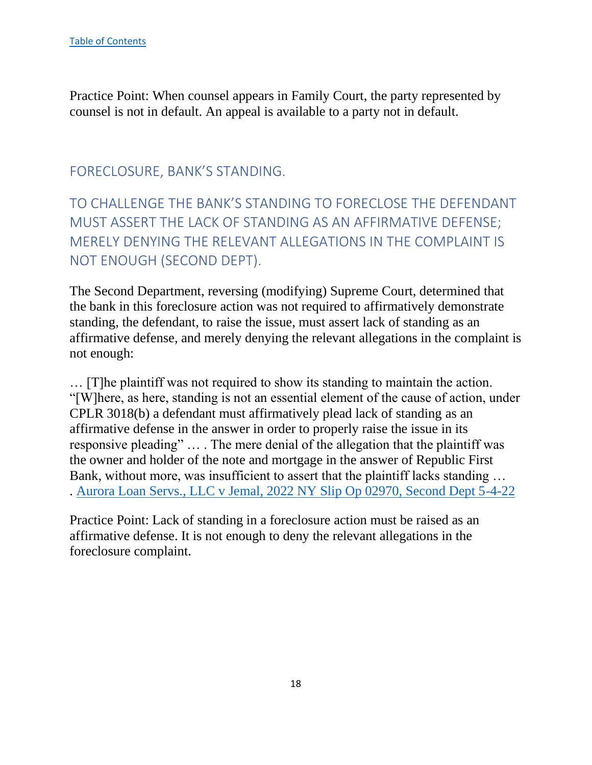Practice Point: When counsel appears in Family Court, the party represented by counsel is not in default. An appeal is available to a party not in default.

## <span id="page-18-0"></span>FORECLOSURE, BANK'S STANDING.

<span id="page-18-1"></span>TO CHALLENGE THE BANK'S STANDING TO FORECLOSE THE DEFENDANT MUST ASSERT THE LACK OF STANDING AS AN AFFIRMATIVE DEFENSE; MERELY DENYING THE RELEVANT ALLEGATIONS IN THE COMPLAINT IS NOT ENOUGH (SECOND DEPT).

The Second Department, reversing (modifying) Supreme Court, determined that the bank in this foreclosure action was not required to affirmatively demonstrate standing, the defendant, to raise the issue, must assert lack of standing as an affirmative defense, and merely denying the relevant allegations in the complaint is not enough:

… [T]he plaintiff was not required to show its standing to maintain the action. "[W]here, as here, standing is not an essential element of the cause of action, under CPLR 3018(b) a defendant must affirmatively plead lack of standing as an affirmative defense in the answer in order to properly raise the issue in its responsive pleading" … . The mere denial of the allegation that the plaintiff was the owner and holder of the note and mortgage in the answer of Republic First Bank, without more, was insufficient to assert that the plaintiff lacks standing … . [Aurora Loan Servs., LLC v Jemal, 2022 NY Slip Op 02970, Second Dept 5-4-22](https://nycourts.gov/reporter/3dseries/2022/2022_02970.htm)

Practice Point: Lack of standing in a foreclosure action must be raised as an affirmative defense. It is not enough to deny the relevant allegations in the foreclosure complaint.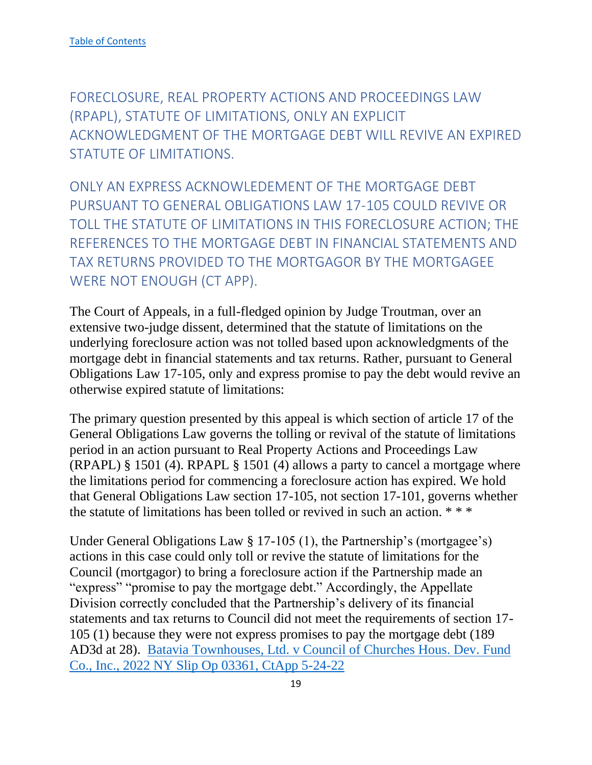<span id="page-19-0"></span>FORECLOSURE, REAL PROPERTY ACTIONS AND PROCEEDINGS LAW (RPAPL), STATUTE OF LIMITATIONS, ONLY AN EXPLICIT ACKNOWLEDGMENT OF THE MORTGAGE DEBT WILL REVIVE AN EXPIRED STATUTE OF LIMITATIONS.

<span id="page-19-1"></span>ONLY AN EXPRESS ACKNOWLEDEMENT OF THE MORTGAGE DEBT PURSUANT TO GENERAL OBLIGATIONS LAW 17-105 COULD REVIVE OR TOLL THE STATUTE OF LIMITATIONS IN THIS FORECLOSURE ACTION; THE REFERENCES TO THE MORTGAGE DEBT IN FINANCIAL STATEMENTS AND TAX RETURNS PROVIDED TO THE MORTGAGOR BY THE MORTGAGEE WERE NOT ENOUGH (CT APP).

The Court of Appeals, in a full-fledged opinion by Judge Troutman, over an extensive two-judge dissent, determined that the statute of limitations on the underlying foreclosure action was not tolled based upon acknowledgments of the mortgage debt in financial statements and tax returns. Rather, pursuant to General Obligations Law 17-105, only and express promise to pay the debt would revive an otherwise expired statute of limitations:

The primary question presented by this appeal is which section of article 17 of the General Obligations Law governs the tolling or revival of the statute of limitations period in an action pursuant to Real Property Actions and Proceedings Law (RPAPL) § 1501 (4). RPAPL § 1501 (4) allows a party to cancel a mortgage where the limitations period for commencing a foreclosure action has expired. We hold that General Obligations Law section 17-105, not section 17-101, governs whether the statute of limitations has been tolled or revived in such an action. \* \* \*

Under General Obligations Law § 17-105 (1), the Partnership's (mortgagee's) actions in this case could only toll or revive the statute of limitations for the Council (mortgagor) to bring a foreclosure action if the Partnership made an "express" "promise to pay the mortgage debt." Accordingly, the Appellate Division correctly concluded that the Partnership's delivery of its financial statements and tax returns to Council did not meet the requirements of section 17- 105 (1) because they were not express promises to pay the mortgage debt (189 AD3d at 28). [Batavia Townhouses, Ltd. v Council of Churches Hous. Dev. Fund](https://www.nycourts.gov/reporter/3dseries/2022/2022_03361.htm)  [Co., Inc., 2022 NY Slip Op 03361, CtApp 5-24-22](https://www.nycourts.gov/reporter/3dseries/2022/2022_03361.htm)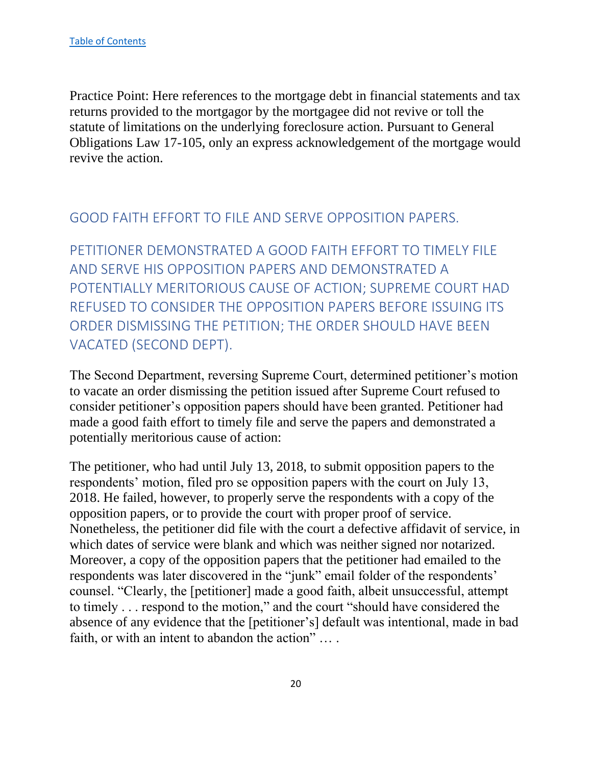Practice Point: Here references to the mortgage debt in financial statements and tax returns provided to the mortgagor by the mortgagee did not revive or toll the statute of limitations on the underlying foreclosure action. Pursuant to General Obligations Law 17-105, only an express acknowledgement of the mortgage would revive the action.

## <span id="page-20-0"></span>GOOD FAITH EFFORT TO FILE AND SERVE OPPOSITION PAPERS.

<span id="page-20-1"></span>PETITIONER DEMONSTRATED A GOOD FAITH EFFORT TO TIMELY FILE AND SERVE HIS OPPOSITION PAPERS AND DEMONSTRATED A POTENTIALLY MERITORIOUS CAUSE OF ACTION; SUPREME COURT HAD REFUSED TO CONSIDER THE OPPOSITION PAPERS BEFORE ISSUING ITS ORDER DISMISSING THE PETITION; THE ORDER SHOULD HAVE BEEN VACATED (SECOND DEPT).

The Second Department, reversing Supreme Court, determined petitioner's motion to vacate an order dismissing the petition issued after Supreme Court refused to consider petitioner's opposition papers should have been granted. Petitioner had made a good faith effort to timely file and serve the papers and demonstrated a potentially meritorious cause of action:

The petitioner, who had until July 13, 2018, to submit opposition papers to the respondents' motion, filed pro se opposition papers with the court on July 13, 2018. He failed, however, to properly serve the respondents with a copy of the opposition papers, or to provide the court with proper proof of service. Nonetheless, the petitioner did file with the court a defective affidavit of service, in which dates of service were blank and which was neither signed nor notarized. Moreover, a copy of the opposition papers that the petitioner had emailed to the respondents was later discovered in the "junk" email folder of the respondents' counsel. "Clearly, the [petitioner] made a good faith, albeit unsuccessful, attempt to timely . . . respond to the motion," and the court "should have considered the absence of any evidence that the [petitioner's] default was intentional, made in bad faith, or with an intent to abandon the action" … .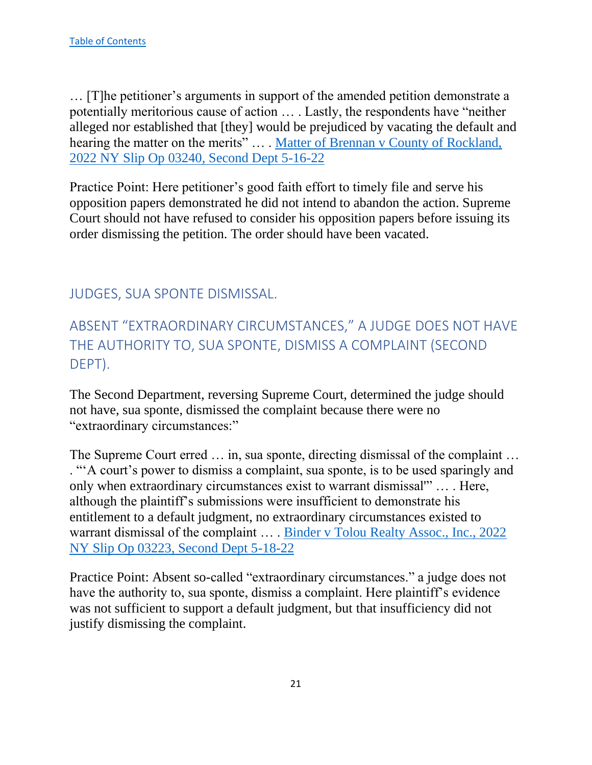… [T]he petitioner's arguments in support of the amended petition demonstrate a potentially meritorious cause of action … . Lastly, the respondents have "neither alleged nor established that [they] would be prejudiced by vacating the default and hearing the matter on the merits" ... . Matter of Brennan v County of Rockland, [2022 NY Slip Op 03240, Second Dept 5-16-22](https://nycourts.gov/reporter/3dseries/2022/2022_03240.htm)

Practice Point: Here petitioner's good faith effort to timely file and serve his opposition papers demonstrated he did not intend to abandon the action. Supreme Court should not have refused to consider his opposition papers before issuing its order dismissing the petition. The order should have been vacated.

## <span id="page-21-0"></span>JUDGES, SUA SPONTE DISMISSAL.

# <span id="page-21-1"></span>ABSENT "EXTRAORDINARY CIRCUMSTANCES," A JUDGE DOES NOT HAVE THE AUTHORITY TO, SUA SPONTE, DISMISS A COMPLAINT (SECOND DEPT).

The Second Department, reversing Supreme Court, determined the judge should not have, sua sponte, dismissed the complaint because there were no "extraordinary circumstances:"

The Supreme Court erred … in, sua sponte, directing dismissal of the complaint … . "'A court's power to dismiss a complaint, sua sponte, is to be used sparingly and only when extraordinary circumstances exist to warrant dismissal'" … . Here, although the plaintiff's submissions were insufficient to demonstrate his entitlement to a default judgment, no extraordinary circumstances existed to warrant dismissal of the complaint … . [Binder v Tolou Realty Assoc., Inc., 2022](https://nycourts.gov/reporter/3dseries/2022/2022_03223.htm)  [NY Slip Op 03223, Second Dept 5-18-22](https://nycourts.gov/reporter/3dseries/2022/2022_03223.htm)

Practice Point: Absent so-called "extraordinary circumstances." a judge does not have the authority to, sua sponte, dismiss a complaint. Here plaintiff's evidence was not sufficient to support a default judgment, but that insufficiency did not justify dismissing the complaint.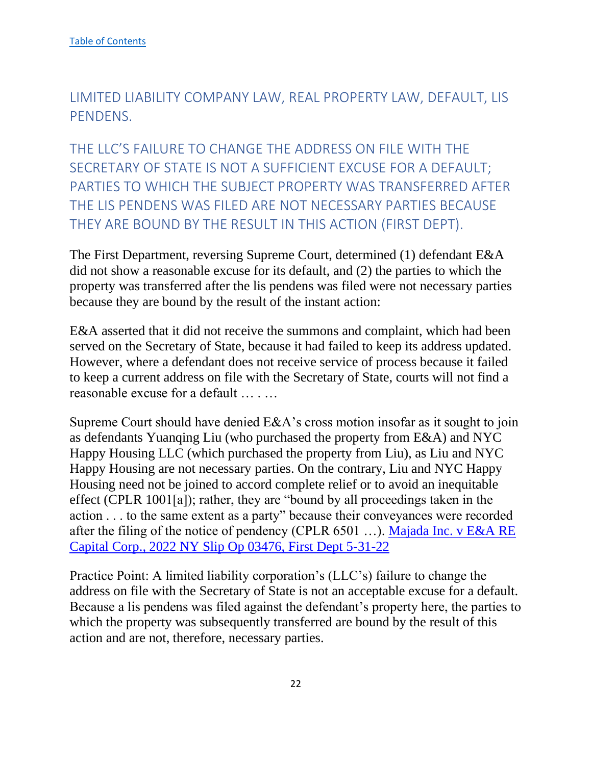<span id="page-22-0"></span>LIMITED LIABILITY COMPANY LAW, REAL PROPERTY LAW, DEFAULT, LIS PENDENS.

<span id="page-22-1"></span>THE LLC'S FAILURE TO CHANGE THE ADDRESS ON FILE WITH THE SECRETARY OF STATE IS NOT A SUFFICIENT EXCUSE FOR A DEFAULT; PARTIES TO WHICH THE SUBJECT PROPERTY WAS TRANSFERRED AFTER THE LIS PENDENS WAS FILED ARE NOT NECESSARY PARTIES BECAUSE THEY ARE BOUND BY THE RESULT IN THIS ACTION (FIRST DEPT).

The First Department, reversing Supreme Court, determined (1) defendant E&A did not show a reasonable excuse for its default, and (2) the parties to which the property was transferred after the lis pendens was filed were not necessary parties because they are bound by the result of the instant action:

E&A asserted that it did not receive the summons and complaint, which had been served on the Secretary of State, because it had failed to keep its address updated. However, where a defendant does not receive service of process because it failed to keep a current address on file with the Secretary of State, courts will not find a reasonable excuse for a default … . …

Supreme Court should have denied E&A's cross motion insofar as it sought to join as defendants Yuanqing Liu (who purchased the property from E&A) and NYC Happy Housing LLC (which purchased the property from Liu), as Liu and NYC Happy Housing are not necessary parties. On the contrary, Liu and NYC Happy Housing need not be joined to accord complete relief or to avoid an inequitable effect (CPLR 1001[a]); rather, they are "bound by all proceedings taken in the action . . . to the same extent as a party" because their conveyances were recorded after the filing of the notice of pendency (CPLR 6501 …). [Majada Inc. v E&A RE](https://nycourts.gov/reporter/3dseries/2022/2022_03476.htm)  [Capital Corp., 2022 NY Slip Op 03476, First Dept 5-31-22](https://nycourts.gov/reporter/3dseries/2022/2022_03476.htm)

Practice Point: A limited liability corporation's (LLC's) failure to change the address on file with the Secretary of State is not an acceptable excuse for a default. Because a lis pendens was filed against the defendant's property here, the parties to which the property was subsequently transferred are bound by the result of this action and are not, therefore, necessary parties.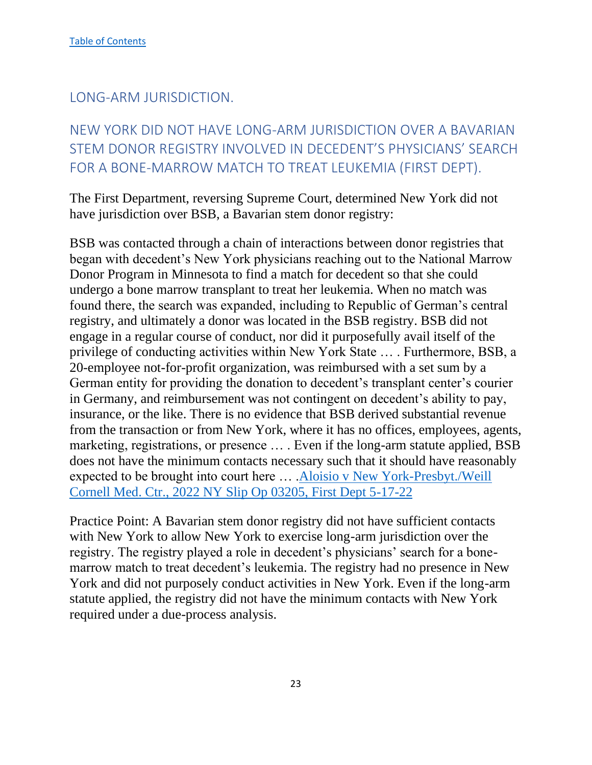<span id="page-23-0"></span>LONG-ARM JURISDICTION.

# <span id="page-23-1"></span>NEW YORK DID NOT HAVE LONG-ARM JURISDICTION OVER A BAVARIAN STEM DONOR REGISTRY INVOLVED IN DECEDENT'S PHYSICIANS' SEARCH FOR A BONE-MARROW MATCH TO TREAT LEUKEMIA (FIRST DEPT).

The First Department, reversing Supreme Court, determined New York did not have jurisdiction over BSB, a Bavarian stem donor registry:

BSB was contacted through a chain of interactions between donor registries that began with decedent's New York physicians reaching out to the National Marrow Donor Program in Minnesota to find a match for decedent so that she could undergo a bone marrow transplant to treat her leukemia. When no match was found there, the search was expanded, including to Republic of German's central registry, and ultimately a donor was located in the BSB registry. BSB did not engage in a regular course of conduct, nor did it purposefully avail itself of the privilege of conducting activities within New York State … . Furthermore, BSB, a 20-employee not-for-profit organization, was reimbursed with a set sum by a German entity for providing the donation to decedent's transplant center's courier in Germany, and reimbursement was not contingent on decedent's ability to pay, insurance, or the like. There is no evidence that BSB derived substantial revenue from the transaction or from New York, where it has no offices, employees, agents, marketing, registrations, or presence … . Even if the long-arm statute applied, BSB does not have the minimum contacts necessary such that it should have reasonably expected to be brought into court here … .Aloisio v [New York-Presbyt./Weill](https://nycourts.gov/reporter/3dseries/2022/2022_03205.htm)  [Cornell Med. Ctr., 2022 NY Slip Op 03205, First Dept 5-17-22](https://nycourts.gov/reporter/3dseries/2022/2022_03205.htm)

Practice Point: A Bavarian stem donor registry did not have sufficient contacts with New York to allow New York to exercise long-arm jurisdiction over the registry. The registry played a role in decedent's physicians' search for a bonemarrow match to treat decedent's leukemia. The registry had no presence in New York and did not purposely conduct activities in New York. Even if the long-arm statute applied, the registry did not have the minimum contacts with New York required under a due-process analysis.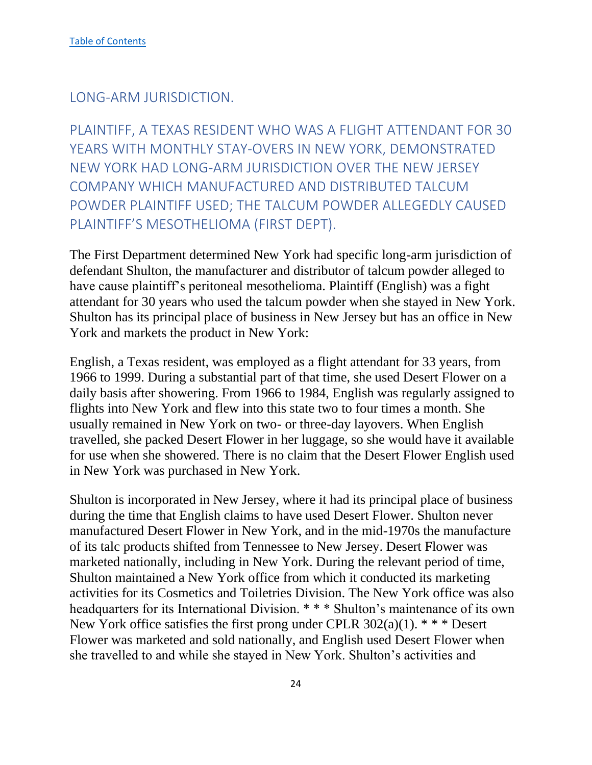<span id="page-24-0"></span>LONG-ARM JURISDICTION.

<span id="page-24-1"></span>PLAINTIFF, A TEXAS RESIDENT WHO WAS A FLIGHT ATTENDANT FOR 30 YEARS WITH MONTHLY STAY-OVERS IN NEW YORK, DEMONSTRATED NEW YORK HAD LONG-ARM JURISDICTION OVER THE NEW JERSEY COMPANY WHICH MANUFACTURED AND DISTRIBUTED TALCUM POWDER PLAINTIFF USED; THE TALCUM POWDER ALLEGEDLY CAUSED PLAINTIFF'S MESOTHELIOMA (FIRST DEPT).

The First Department determined New York had specific long-arm jurisdiction of defendant Shulton, the manufacturer and distributor of talcum powder alleged to have cause plaintiff's peritoneal mesothelioma. Plaintiff (English) was a fight attendant for 30 years who used the talcum powder when she stayed in New York. Shulton has its principal place of business in New Jersey but has an office in New York and markets the product in New York:

English, a Texas resident, was employed as a flight attendant for 33 years, from 1966 to 1999. During a substantial part of that time, she used Desert Flower on a daily basis after showering. From 1966 to 1984, English was regularly assigned to flights into New York and flew into this state two to four times a month. She usually remained in New York on two- or three-day layovers. When English travelled, she packed Desert Flower in her luggage, so she would have it available for use when she showered. There is no claim that the Desert Flower English used in New York was purchased in New York.

Shulton is incorporated in New Jersey, where it had its principal place of business during the time that English claims to have used Desert Flower. Shulton never manufactured Desert Flower in New York, and in the mid-1970s the manufacture of its talc products shifted from Tennessee to New Jersey. Desert Flower was marketed nationally, including in New York. During the relevant period of time, Shulton maintained a New York office from which it conducted its marketing activities for its Cosmetics and Toiletries Division. The New York office was also headquarters for its International Division. \* \* \* Shulton's maintenance of its own New York office satisfies the first prong under CPLR  $302(a)(1)$ . \* \* \* Desert Flower was marketed and sold nationally, and English used Desert Flower when she travelled to and while she stayed in New York. Shulton's activities and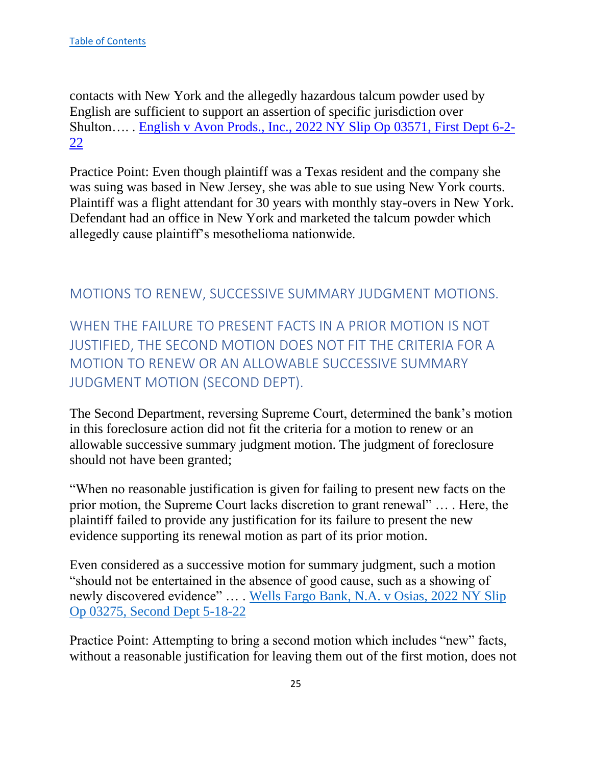contacts with New York and the allegedly hazardous talcum powder used by English are sufficient to support an assertion of specific jurisdiction over Shulton…. . [English v Avon Prods., Inc., 2022 NY Slip Op 03571, First Dept 6-2-](https://nycourts.gov/reporter/3dseries/2022/2022_03571.htm) [22](https://nycourts.gov/reporter/3dseries/2022/2022_03571.htm)

Practice Point: Even though plaintiff was a Texas resident and the company she was suing was based in New Jersey, she was able to sue using New York courts. Plaintiff was a flight attendant for 30 years with monthly stay-overs in New York. Defendant had an office in New York and marketed the talcum powder which allegedly cause plaintiff's mesothelioma nationwide.

## <span id="page-25-0"></span>MOTIONS TO RENEW, SUCCESSIVE SUMMARY JUDGMENT MOTIONS.

<span id="page-25-1"></span>WHEN THE FAILURE TO PRESENT FACTS IN A PRIOR MOTION IS NOT JUSTIFIED, THE SECOND MOTION DOES NOT FIT THE CRITERIA FOR A MOTION TO RENEW OR AN ALLOWABLE SUCCESSIVE SUMMARY JUDGMENT MOTION (SECOND DEPT).

The Second Department, reversing Supreme Court, determined the bank's motion in this foreclosure action did not fit the criteria for a motion to renew or an allowable successive summary judgment motion. The judgment of foreclosure should not have been granted;

"When no reasonable justification is given for failing to present new facts on the prior motion, the Supreme Court lacks discretion to grant renewal" … . Here, the plaintiff failed to provide any justification for its failure to present the new evidence supporting its renewal motion as part of its prior motion.

Even considered as a successive motion for summary judgment, such a motion "should not be entertained in the absence of good cause, such as a showing of newly discovered evidence" … . [Wells Fargo Bank, N.A. v Osias, 2022 NY Slip](https://nycourts.gov/reporter/3dseries/2022/2022_03275.htm)  [Op 03275, Second Dept 5-18-22](https://nycourts.gov/reporter/3dseries/2022/2022_03275.htm)

Practice Point: Attempting to bring a second motion which includes "new" facts, without a reasonable justification for leaving them out of the first motion, does not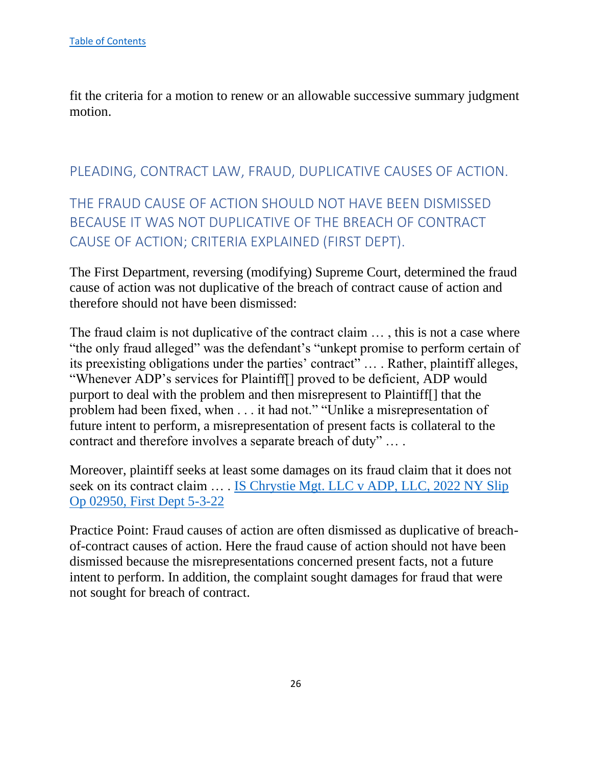fit the criteria for a motion to renew or an allowable successive summary judgment motion.

## <span id="page-26-0"></span>PLEADING, CONTRACT LAW, FRAUD, DUPLICATIVE CAUSES OF ACTION.

# <span id="page-26-1"></span>THE FRAUD CAUSE OF ACTION SHOULD NOT HAVE BEEN DISMISSED BECAUSE IT WAS NOT DUPLICATIVE OF THE BREACH OF CONTRACT CAUSE OF ACTION; CRITERIA EXPLAINED (FIRST DEPT).

The First Department, reversing (modifying) Supreme Court, determined the fraud cause of action was not duplicative of the breach of contract cause of action and therefore should not have been dismissed:

The fraud claim is not duplicative of the contract claim … , this is not a case where "the only fraud alleged" was the defendant's "unkept promise to perform certain of its preexisting obligations under the parties' contract" … . Rather, plaintiff alleges, "Whenever ADP's services for Plaintiff[] proved to be deficient, ADP would purport to deal with the problem and then misrepresent to Plaintiff[] that the problem had been fixed, when . . . it had not." "Unlike a misrepresentation of future intent to perform, a misrepresentation of present facts is collateral to the contract and therefore involves a separate breach of duty" … .

Moreover, plaintiff seeks at least some damages on its fraud claim that it does not seek on its contract claim … . [IS Chrystie Mgt. LLC v ADP, LLC, 2022 NY Slip](https://nycourts.gov/reporter/3dseries/2022/2022_02950.htm)  [Op 02950, First Dept 5-3-22](https://nycourts.gov/reporter/3dseries/2022/2022_02950.htm)

Practice Point: Fraud causes of action are often dismissed as duplicative of breachof-contract causes of action. Here the fraud cause of action should not have been dismissed because the misrepresentations concerned present facts, not a future intent to perform. In addition, the complaint sought damages for fraud that were not sought for breach of contract.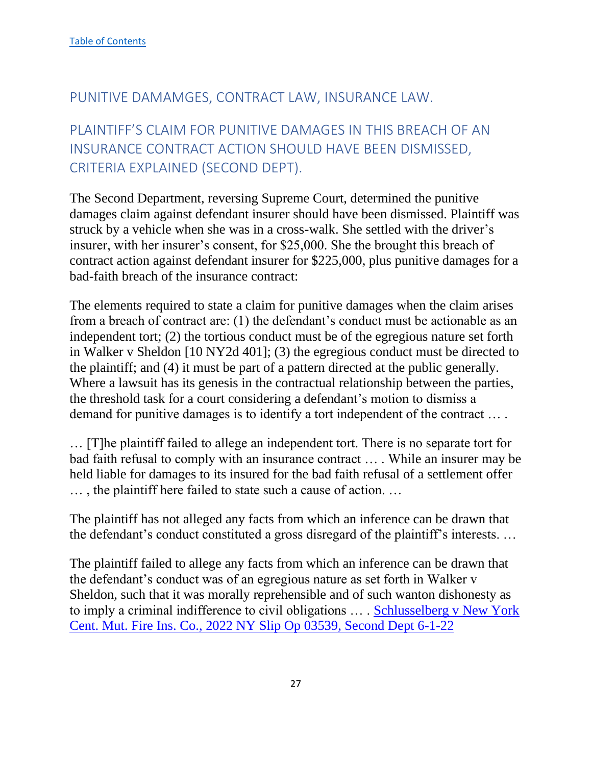## <span id="page-27-0"></span>PUNITIVE DAMAMGES, CONTRACT LAW, INSURANCE LAW.

# <span id="page-27-1"></span>PLAINTIFF'S CLAIM FOR PUNITIVE DAMAGES IN THIS BREACH OF AN INSURANCE CONTRACT ACTION SHOULD HAVE BEEN DISMISSED, CRITERIA EXPLAINED (SECOND DEPT).

The Second Department, reversing Supreme Court, determined the punitive damages claim against defendant insurer should have been dismissed. Plaintiff was struck by a vehicle when she was in a cross-walk. She settled with the driver's insurer, with her insurer's consent, for \$25,000. She the brought this breach of contract action against defendant insurer for \$225,000, plus punitive damages for a bad-faith breach of the insurance contract:

The elements required to state a claim for punitive damages when the claim arises from a breach of contract are: (1) the defendant's conduct must be actionable as an independent tort; (2) the tortious conduct must be of the egregious nature set forth in Walker v Sheldon [10 NY2d 401]; (3) the egregious conduct must be directed to the plaintiff; and (4) it must be part of a pattern directed at the public generally. Where a lawsuit has its genesis in the contractual relationship between the parties, the threshold task for a court considering a defendant's motion to dismiss a demand for punitive damages is to identify a tort independent of the contract … .

… [T]he plaintiff failed to allege an independent tort. There is no separate tort for bad faith refusal to comply with an insurance contract … . While an insurer may be held liable for damages to its insured for the bad faith refusal of a settlement offer … , the plaintiff here failed to state such a cause of action. …

The plaintiff has not alleged any facts from which an inference can be drawn that the defendant's conduct constituted a gross disregard of the plaintiff's interests. …

The plaintiff failed to allege any facts from which an inference can be drawn that the defendant's conduct was of an egregious nature as set forth in Walker v Sheldon, such that it was morally reprehensible and of such wanton dishonesty as to imply a criminal indifference to civil obligations … . [Schlusselberg v New York](https://nycourts.gov/reporter/3dseries/2022/2022_03539.htm)  [Cent. Mut. Fire Ins. Co., 2022 NY Slip Op 03539, Second Dept 6-1-22](https://nycourts.gov/reporter/3dseries/2022/2022_03539.htm)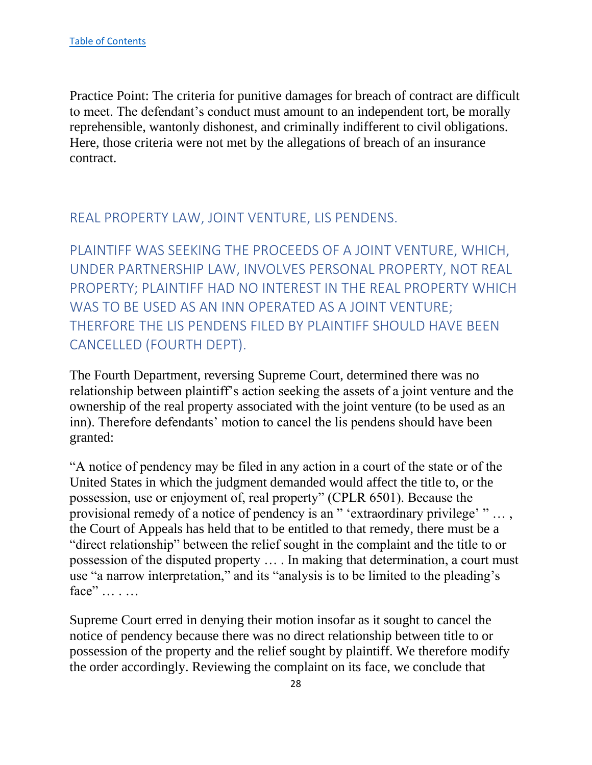Practice Point: The criteria for punitive damages for breach of contract are difficult to meet. The defendant's conduct must amount to an independent tort, be morally reprehensible, wantonly dishonest, and criminally indifferent to civil obligations. Here, those criteria were not met by the allegations of breach of an insurance contract.

## <span id="page-28-0"></span>REAL PROPERTY LAW, JOINT VENTURE, LIS PENDENS.

<span id="page-28-1"></span>PLAINTIFF WAS SEEKING THE PROCEEDS OF A JOINT VENTURE, WHICH, UNDER PARTNERSHIP LAW, INVOLVES PERSONAL PROPERTY, NOT REAL PROPERTY; PLAINTIFF HAD NO INTEREST IN THE REAL PROPERTY WHICH WAS TO BE USED AS AN INN OPERATED AS A JOINT VENTURE; THERFORE THE LIS PENDENS FILED BY PLAINTIFF SHOULD HAVE BEEN CANCELLED (FOURTH DEPT).

The Fourth Department, reversing Supreme Court, determined there was no relationship between plaintiff's action seeking the assets of a joint venture and the ownership of the real property associated with the joint venture (to be used as an inn). Therefore defendants' motion to cancel the lis pendens should have been granted:

"A notice of pendency may be filed in any action in a court of the state or of the United States in which the judgment demanded would affect the title to, or the possession, use or enjoyment of, real property" (CPLR 6501). Because the provisional remedy of a notice of pendency is an " 'extraordinary privilege' " … , the Court of Appeals has held that to be entitled to that remedy, there must be a "direct relationship" between the relief sought in the complaint and the title to or possession of the disputed property … . In making that determination, a court must use "a narrow interpretation," and its "analysis is to be limited to the pleading's face" … . …

Supreme Court erred in denying their motion insofar as it sought to cancel the notice of pendency because there was no direct relationship between title to or possession of the property and the relief sought by plaintiff. We therefore modify the order accordingly. Reviewing the complaint on its face, we conclude that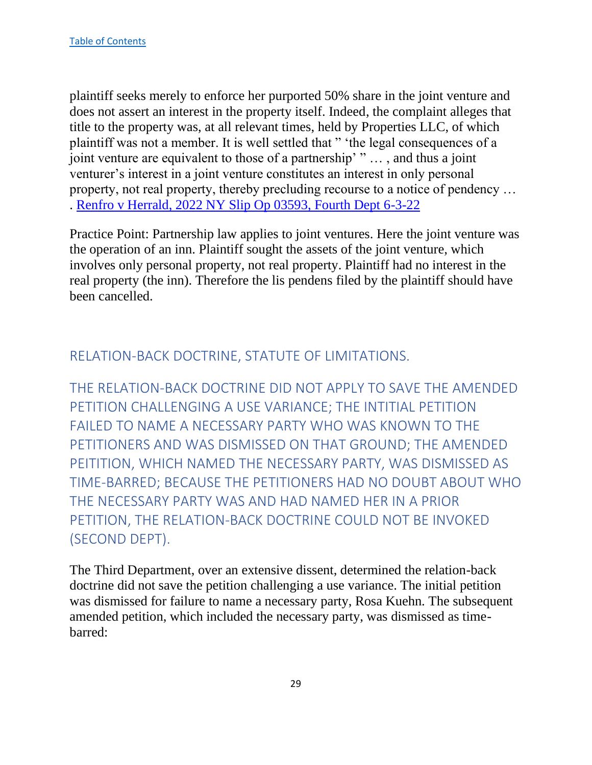plaintiff seeks merely to enforce her purported 50% share in the joint venture and does not assert an interest in the property itself. Indeed, the complaint alleges that title to the property was, at all relevant times, held by Properties LLC, of which plaintiff was not a member. It is well settled that " 'the legal consequences of a joint venture are equivalent to those of a partnership' " … , and thus a joint venturer's interest in a joint venture constitutes an interest in only personal property, not real property, thereby precluding recourse to a notice of pendency … . [Renfro v Herrald, 2022 NY Slip Op 03593, Fourth Dept 6-3-22](https://nycourts.gov/reporter/3dseries/2022/2022_03593.htm)

Practice Point: Partnership law applies to joint ventures. Here the joint venture was the operation of an inn. Plaintiff sought the assets of the joint venture, which involves only personal property, not real property. Plaintiff had no interest in the real property (the inn). Therefore the lis pendens filed by the plaintiff should have been cancelled.

## <span id="page-29-0"></span>RELATION-BACK DOCTRINE, STATUTE OF LIMITATIONS.

<span id="page-29-1"></span>THE RELATION-BACK DOCTRINE DID NOT APPLY TO SAVE THE AMENDED PETITION CHALLENGING A USE VARIANCE; THE INTITIAL PETITION FAILED TO NAME A NECESSARY PARTY WHO WAS KNOWN TO THE PETITIONERS AND WAS DISMISSED ON THAT GROUND; THE AMENDED PEITITION, WHICH NAMED THE NECESSARY PARTY, WAS DISMISSED AS TIME-BARRED; BECAUSE THE PETITIONERS HAD NO DOUBT ABOUT WHO THE NECESSARY PARTY WAS AND HAD NAMED HER IN A PRIOR PETITION, THE RELATION-BACK DOCTRINE COULD NOT BE INVOKED (SECOND DEPT).

The Third Department, over an extensive dissent, determined the relation-back doctrine did not save the petition challenging a use variance. The initial petition was dismissed for failure to name a necessary party, Rosa Kuehn. The subsequent amended petition, which included the necessary party, was dismissed as timebarred: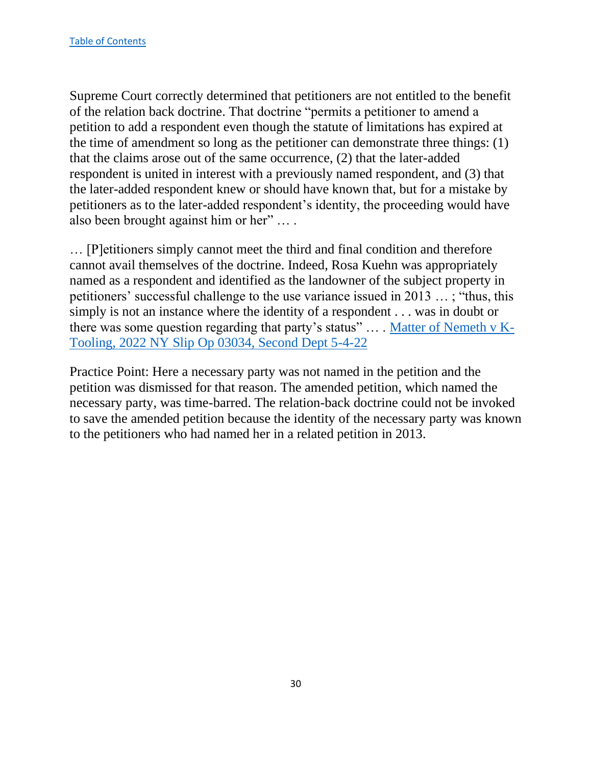Supreme Court correctly determined that petitioners are not entitled to the benefit of the relation back doctrine. That doctrine "permits a petitioner to amend a petition to add a respondent even though the statute of limitations has expired at the time of amendment so long as the petitioner can demonstrate three things: (1) that the claims arose out of the same occurrence, (2) that the later-added respondent is united in interest with a previously named respondent, and (3) that the later-added respondent knew or should have known that, but for a mistake by petitioners as to the later-added respondent's identity, the proceeding would have also been brought against him or her" … .

… [P]etitioners simply cannot meet the third and final condition and therefore cannot avail themselves of the doctrine. Indeed, Rosa Kuehn was appropriately named as a respondent and identified as the landowner of the subject property in petitioners' successful challenge to the use variance issued in 2013 … ; "thus, this simply is not an instance where the identity of a respondent . . . was in doubt or there was some question regarding that party's status" … . [Matter of Nemeth v K-](https://nycourts.gov/reporter/3dseries/2022/2022_03034.htm)[Tooling, 2022 NY Slip Op 03034, Second Dept 5-4-22](https://nycourts.gov/reporter/3dseries/2022/2022_03034.htm)

Practice Point: Here a necessary party was not named in the petition and the petition was dismissed for that reason. The amended petition, which named the necessary party, was time-barred. The relation-back doctrine could not be invoked to save the amended petition because the identity of the necessary party was known to the petitioners who had named her in a related petition in 2013.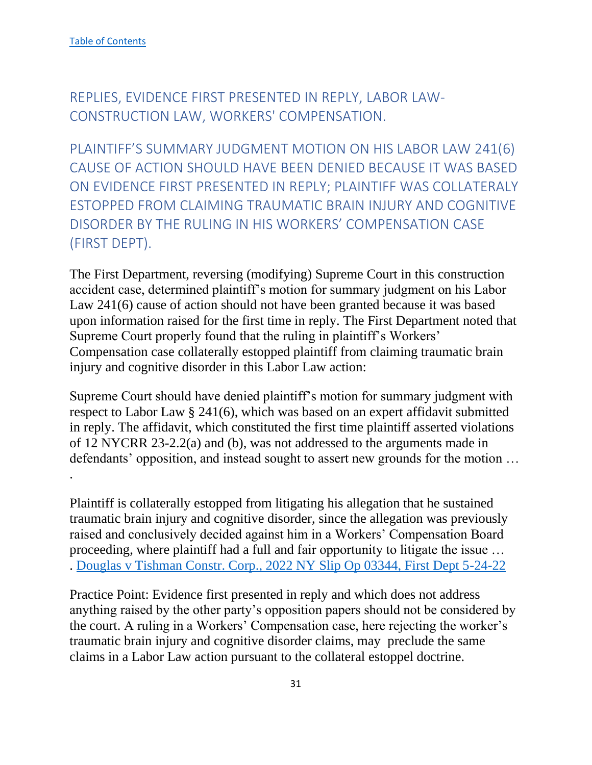<span id="page-31-0"></span>REPLIES, EVIDENCE FIRST PRESENTED IN REPLY, LABOR LAW-CONSTRUCTION LAW, WORKERS' COMPENSATION.

<span id="page-31-1"></span>PLAINTIFF'S SUMMARY JUDGMENT MOTION ON HIS LABOR LAW 241(6) CAUSE OF ACTION SHOULD HAVE BEEN DENIED BECAUSE IT WAS BASED ON EVIDENCE FIRST PRESENTED IN REPLY; PLAINTIFF WAS COLLATERALY ESTOPPED FROM CLAIMING TRAUMATIC BRAIN INJURY AND COGNITIVE DISORDER BY THE RULING IN HIS WORKERS' COMPENSATION CASE (FIRST DEPT).

The First Department, reversing (modifying) Supreme Court in this construction accident case, determined plaintiff's motion for summary judgment on his Labor Law 241(6) cause of action should not have been granted because it was based upon information raised for the first time in reply. The First Department noted that Supreme Court properly found that the ruling in plaintiff's Workers' Compensation case collaterally estopped plaintiff from claiming traumatic brain injury and cognitive disorder in this Labor Law action:

Supreme Court should have denied plaintiff's motion for summary judgment with respect to Labor Law § 241(6), which was based on an expert affidavit submitted in reply. The affidavit, which constituted the first time plaintiff asserted violations of 12 NYCRR 23-2.2(a) and (b), was not addressed to the arguments made in defendants' opposition, and instead sought to assert new grounds for the motion … .

Plaintiff is collaterally estopped from litigating his allegation that he sustained traumatic brain injury and cognitive disorder, since the allegation was previously raised and conclusively decided against him in a Workers' Compensation Board proceeding, where plaintiff had a full and fair opportunity to litigate the issue … . [Douglas v Tishman Constr. Corp., 2022 NY Slip Op 03344, First Dept 5-24-22](https://nycourts.gov/reporter/3dseries/2022/2022_03344.htm)

Practice Point: Evidence first presented in reply and which does not address anything raised by the other party's opposition papers should not be considered by the court. A ruling in a Workers' Compensation case, here rejecting the worker's traumatic brain injury and cognitive disorder claims, may preclude the same claims in a Labor Law action pursuant to the collateral estoppel doctrine.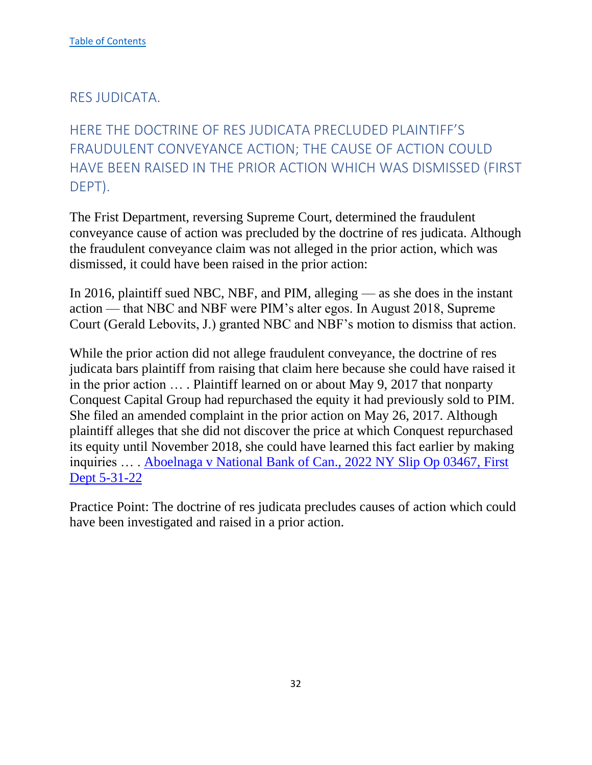#### <span id="page-32-0"></span>RES JUDICATA.

<span id="page-32-1"></span>HERE THE DOCTRINE OF RES JUDICATA PRECLUDED PLAINTIFF'S FRAUDULENT CONVEYANCE ACTION; THE CAUSE OF ACTION COULD HAVE BEEN RAISED IN THE PRIOR ACTION WHICH WAS DISMISSED (FIRST DEPT).

The Frist Department, reversing Supreme Court, determined the fraudulent conveyance cause of action was precluded by the doctrine of res judicata. Although the fraudulent conveyance claim was not alleged in the prior action, which was dismissed, it could have been raised in the prior action:

In 2016, plaintiff sued NBC, NBF, and PIM, alleging — as she does in the instant action — that NBC and NBF were PIM's alter egos. In August 2018, Supreme Court (Gerald Lebovits, J.) granted NBC and NBF's motion to dismiss that action.

While the prior action did not allege fraudulent conveyance, the doctrine of res judicata bars plaintiff from raising that claim here because she could have raised it in the prior action … . Plaintiff learned on or about May 9, 2017 that nonparty Conquest Capital Group had repurchased the equity it had previously sold to PIM. She filed an amended complaint in the prior action on May 26, 2017. Although plaintiff alleges that she did not discover the price at which Conquest repurchased its equity until November 2018, she could have learned this fact earlier by making inquiries … . [Aboelnaga v National Bank of Can., 2022 NY Slip Op 03467, First](https://nycourts.gov/reporter/3dseries/2022/2022_03467.htm)  [Dept 5-31-22](https://nycourts.gov/reporter/3dseries/2022/2022_03467.htm)

Practice Point: The doctrine of res judicata precludes causes of action which could have been investigated and raised in a prior action.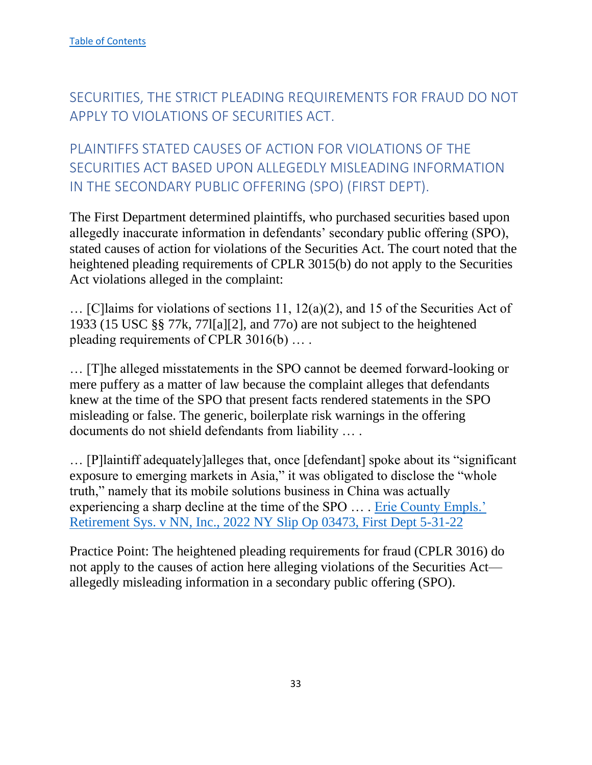<span id="page-33-0"></span>SECURITIES, THE STRICT PLEADING REQUIREMENTS FOR FRAUD DO NOT APPLY TO VIOLATIONS OF SECURITIES ACT.

<span id="page-33-1"></span>PLAINTIFFS STATED CAUSES OF ACTION FOR VIOLATIONS OF THE SECURITIES ACT BASED UPON ALLEGEDLY MISLEADING INFORMATION IN THE SECONDARY PUBLIC OFFERING (SPO) (FIRST DEPT).

The First Department determined plaintiffs, who purchased securities based upon allegedly inaccurate information in defendants' secondary public offering (SPO), stated causes of action for violations of the Securities Act. The court noted that the heightened pleading requirements of CPLR 3015(b) do not apply to the Securities Act violations alleged in the complaint:

… [C]laims for violations of sections 11, 12(a)(2), and 15 of the Securities Act of 1933 (15 USC §§ 77k, 77l[a][2], and 77o) are not subject to the heightened pleading requirements of CPLR 3016(b) … .

… [T]he alleged misstatements in the SPO cannot be deemed forward-looking or mere puffery as a matter of law because the complaint alleges that defendants knew at the time of the SPO that present facts rendered statements in the SPO misleading or false. The generic, boilerplate risk warnings in the offering documents do not shield defendants from liability … .

… [P]laintiff adequately]alleges that, once [defendant] spoke about its "significant exposure to emerging markets in Asia," it was obligated to disclose the "whole truth," namely that its mobile solutions business in China was actually experiencing a sharp decline at the time of the SPO … . [Erie County Empls.'](https://nycourts.gov/reporter/3dseries/2022/2022_03473.htm)  [Retirement Sys. v NN, Inc., 2022 NY Slip Op 03473, First Dept 5-31-22](https://nycourts.gov/reporter/3dseries/2022/2022_03473.htm)

Practice Point: The heightened pleading requirements for fraud (CPLR 3016) do not apply to the causes of action here alleging violations of the Securities Act allegedly misleading information in a secondary public offering (SPO).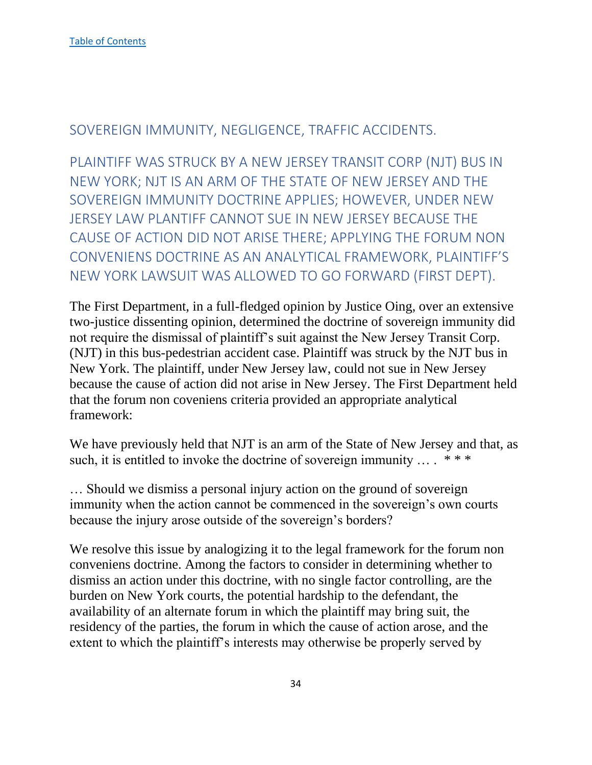<span id="page-34-0"></span>SOVEREIGN IMMUNITY, NEGLIGENCE, TRAFFIC ACCIDENTS.

<span id="page-34-1"></span>PLAINTIFF WAS STRUCK BY A NEW JERSEY TRANSIT CORP (NJT) BUS IN NEW YORK; NJT IS AN ARM OF THE STATE OF NEW JERSEY AND THE SOVEREIGN IMMUNITY DOCTRINE APPLIES; HOWEVER, UNDER NEW JERSEY LAW PLANTIFF CANNOT SUE IN NEW JERSEY BECAUSE THE CAUSE OF ACTION DID NOT ARISE THERE; APPLYING THE FORUM NON CONVENIENS DOCTRINE AS AN ANALYTICAL FRAMEWORK, PLAINTIFF'S NEW YORK LAWSUIT WAS ALLOWED TO GO FORWARD (FIRST DEPT).

The First Department, in a full-fledged opinion by Justice Oing, over an extensive two-justice dissenting opinion, determined the doctrine of sovereign immunity did not require the dismissal of plaintiff's suit against the New Jersey Transit Corp. (NJT) in this bus-pedestrian accident case. Plaintiff was struck by the NJT bus in New York. The plaintiff, under New Jersey law, could not sue in New Jersey because the cause of action did not arise in New Jersey. The First Department held that the forum non coveniens criteria provided an appropriate analytical framework:

We have previously held that NJT is an arm of the State of New Jersey and that, as such, it is entitled to invoke the doctrine of sovereign immunity  $\dots$ . \*\*\*

… Should we dismiss a personal injury action on the ground of sovereign immunity when the action cannot be commenced in the sovereign's own courts because the injury arose outside of the sovereign's borders?

We resolve this issue by analogizing it to the legal framework for the forum non conveniens doctrine. Among the factors to consider in determining whether to dismiss an action under this doctrine, with no single factor controlling, are the burden on New York courts, the potential hardship to the defendant, the availability of an alternate forum in which the plaintiff may bring suit, the residency of the parties, the forum in which the cause of action arose, and the extent to which the plaintiff's interests may otherwise be properly served by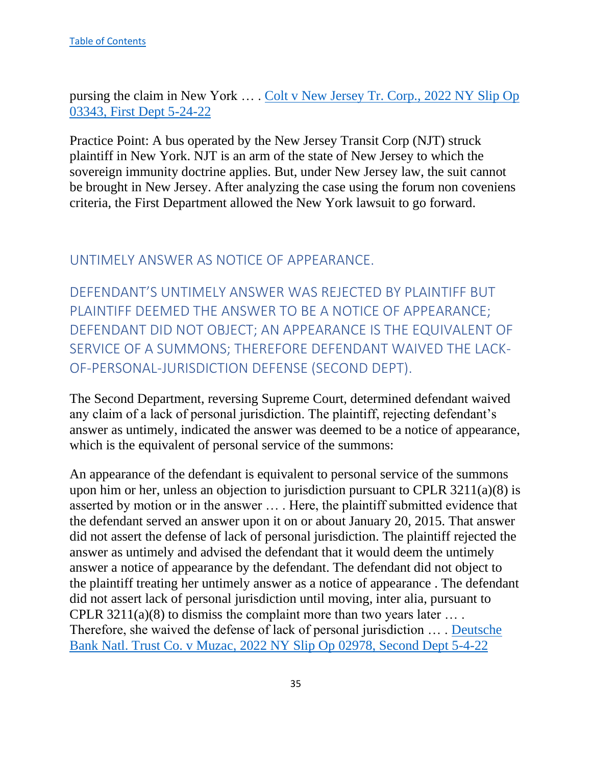pursing the claim in New York … . Colt v New Jersey Tr. Corp., 2022 NY Slip Op 03343, First Dept 5-24-22

Practice Point: A bus operated by the New Jersey Transit Corp (NJT) struck plaintiff in New York. NJT is an arm of the state of New Jersey to which the sovereign immunity doctrine applies. But, under New Jersey law, the suit cannot be brought in New Jersey. After analyzing the case using the forum non coveniens criteria, the First Department allowed the New York lawsuit to go forward.

<span id="page-35-0"></span>UNTIMELY ANSWER AS NOTICE OF APPEARANCE.

<span id="page-35-1"></span>DEFENDANT'S UNTIMELY ANSWER WAS REJECTED BY PLAINTIFF BUT PLAINTIFF DEEMED THE ANSWER TO BE A NOTICE OF APPEARANCE; DEFENDANT DID NOT OBJECT; AN APPEARANCE IS THE EQUIVALENT OF SERVICE OF A SUMMONS; THEREFORE DEFENDANT WAIVED THE LACK-OF-PERSONAL-JURISDICTION DEFENSE (SECOND DEPT).

The Second Department, reversing Supreme Court, determined defendant waived any claim of a lack of personal jurisdiction. The plaintiff, rejecting defendant's answer as untimely, indicated the answer was deemed to be a notice of appearance, which is the equivalent of personal service of the summons:

An appearance of the defendant is equivalent to personal service of the summons upon him or her, unless an objection to jurisdiction pursuant to CPLR 3211(a)(8) is asserted by motion or in the answer … . Here, the plaintiff submitted evidence that the defendant served an answer upon it on or about January 20, 2015. That answer did not assert the defense of lack of personal jurisdiction. The plaintiff rejected the answer as untimely and advised the defendant that it would deem the untimely answer a notice of appearance by the defendant. The defendant did not object to the plaintiff treating her untimely answer as a notice of appearance . The defendant did not assert lack of personal jurisdiction until moving, inter alia, pursuant to CPLR  $3211(a)(8)$  to dismiss the complaint more than two years later .... Therefore, she waived the defense of lack of personal jurisdiction ... . Deutsche Bank Natl. Trust Co. v Muzac, 2022 NY Slip Op 02978, Second Dept 5-4-22